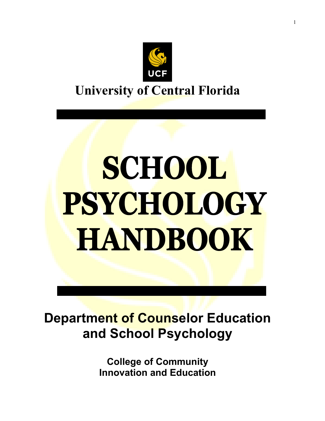

# SCHOOL PSYCHOLOGY **HANDBOOK**

**Department of Counselor Education and School Psychology**

> **College of Community Innovation and Education**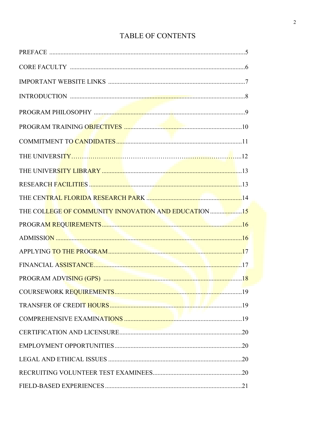# TABLE OF CONTENTS

| THE COLLEGE OF COMMUNITY INNOVATION AND EDUCATION 15 |
|------------------------------------------------------|
|                                                      |
|                                                      |
|                                                      |
|                                                      |
|                                                      |
|                                                      |
|                                                      |
|                                                      |
|                                                      |
|                                                      |
|                                                      |
|                                                      |
|                                                      |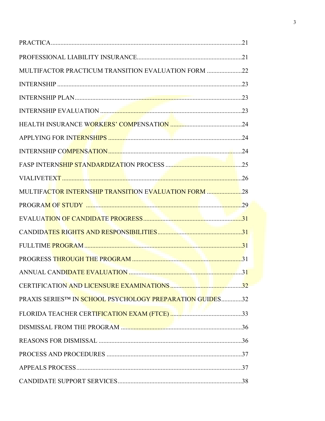| MULTIFACTOR PRACTICUM TRANSITION EVALUATION FORM 22         |
|-------------------------------------------------------------|
|                                                             |
|                                                             |
|                                                             |
|                                                             |
|                                                             |
|                                                             |
|                                                             |
|                                                             |
| <b>MULTIFACTOR INTERNSHIP TRANSITION EVALUATION FORM 28</b> |
|                                                             |
|                                                             |
|                                                             |
|                                                             |
|                                                             |
|                                                             |
|                                                             |
| PRAXIS SERIES™ IN SCHOOL PSYCHOLOGY PREPARATION GUIDES32    |
|                                                             |
|                                                             |
|                                                             |
|                                                             |
|                                                             |
|                                                             |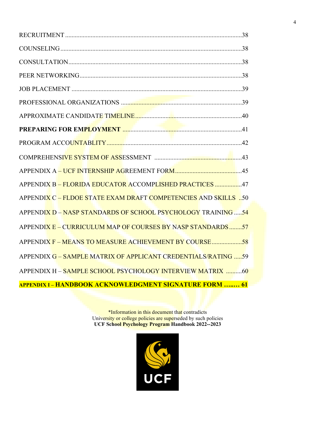| APPENDIX B - FLORIDA EDUCATOR ACCOMPLISHED PRACTICES 47        |  |
|----------------------------------------------------------------|--|
| APPENDIX C - FLDOE STATE EXAM DRAFT COMPETENCIES AND SKILLS 50 |  |
| APPENDIX D - NASP STANDARDS OF SCHOOL PSYCHOLOGY TRAINING 54   |  |
| APPENDIX E - CURRICULUM MAP OF COURSES BY NASP STANDARDS57     |  |
| APPENDIX F – MEANS TO MEASURE ACHIEVEMENT BY COURSE58          |  |
| APPENDIX G - SAMPLE MATRIX OF APPLICANT CREDENTIALS/RATING 59  |  |
| APPENDIX H - SAMPLE SCHOOL PSYCHOLOGY INTERVIEW MATRIX 60      |  |
| <b>APPENDIX I - HANDBOOK ACKNOWLEDGMENT SIGNATURE FORM  61</b> |  |

\*Information in this document that contradicts University or college policies are superseded by such policies **UCF School Psychology Program Handbook 2022--2023**

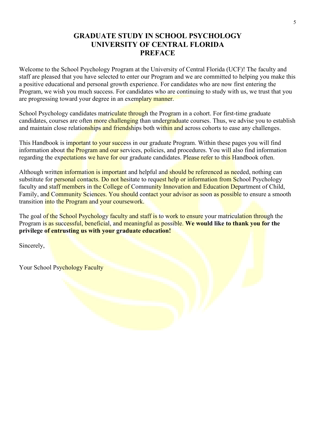## **GRADUATE STUDY IN SCHOOL PSYCHOLOGY UNIVERSITY OF CENTRAL FLORIDA PREFACE**

Welcome to the School Psychology Program at the University of Central Florida (UCF)! The faculty and staff are pleased that you have selected to enter our Program and we are committed to helping you make this a positive educational and personal growth experience. For candidates who are now first entering the Program, we wish you much success. For candidates who are continuing to study with us, we trust that you are progressing toward your degree in an exemplary manner.

School Psychology candidates matriculate through the Program in a cohort. For first-time graduate candidates, courses are often more challenging than undergraduate courses. Thus, we advise you to establish and maintain close relationships and friendships both within and across cohorts to ease any challenges.

This Handbook is important to your success in our graduate Program. Within these pages you will find information about the Program and our services, policies, and procedures. You will also find information regarding the expectations we have for our graduate candidates. Please refer to this Handbook often.

Although written information is important and helpful and should be referenced as needed, nothing can substitute for personal contacts. Do not hesitate to request help or information from School Psychology faculty and staff members in the College of Community Innovation and Education Department of Child, Family, and Community Sciences. You should contact your advisor as soon as possible to ensure a smooth transition into the Program and your coursework.

The goal of the School Psychology faculty and staff is to work to ensure your matriculation through the Program is as successful, beneficial, and meaningful as possible. **We would like to thank you for the privilege of entrusting us with your graduate education!**

Sincerely,

Your School Psychology Faculty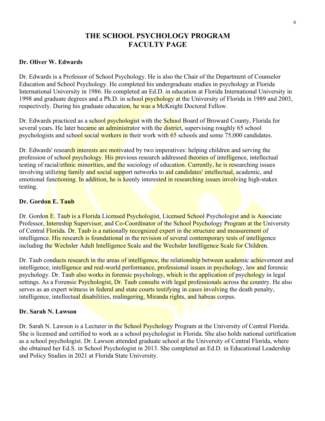## **THE SCHOOL PSYCHOLOGY PROGRAM FACULTY PAGE**

#### **Dr. Oliver W. Edwards**

Dr. Edwards is a Professor of School Psychology. He is also the Chair of the Department of Counselor Education and School Psychology. He completed his undergraduate studies in psychology at Florida International University in 1986. He completed an Ed.D. in education at Florida International University in 1998 and graduate degrees and a Ph.D. in school psychology at the University of Florida in 1989 and 2003, respectively. During his graduate education, he was a McKnight Doctoral Fellow.

Dr. Edwards practiced as a school psychologist with the School Board of Broward County, Florida for several years. He later became an administrator with the district, supervising roughly 65 school psychologists and school social workers in their work with 65 schools and some 75,000 candidates.

Dr. Edwards' research interests are motivated by two imperatives: helping children and serving the profession of school psychology. His previous research addressed theories of intelligence, intellectual testing of racial/ethnic minorities, and the sociology of education. Currently, he is researching issues involving utilizing family and social support networks to aid candidates' intellectual, academic, and emotional functioning. In addition, he is keenly interested in researching issues involving high-stakes testing.

#### **Dr. Gordon E. Taub**

Dr. Gordon E. Taub is a Florida Licensed Psychologist, Licensed School Psychologist and is Associate Professor, Internship Supervisor, and Co-Coordinator of the School Psychology Program at the University of Central Florida. Dr. Taub is a nationally recognized expert in the structure and measurement of intelligence. His research is foundational in the revision of several contemporary tests of intelligence including the Wechsler Adult Intelligence Scale and the Wechsler Intelligence Scale for Children.

Dr. Taub conducts research in the areas of intelligence, the relationship between academic achievement and intelligence, intelligence and real-world performance, professional issues in psychology, law and forensic psychology. Dr. Taub also works in forensic psychology, which is the application of psychology in legal settings. As a Forensic Psychologist, Dr. Taub consults with legal professionals across the country. He also serves as an expert witness in federal and state courts testifying in cases involving the death penalty, intelligence, intellectual disabilities, malingering, Miranda rights, and habeas corpus.

#### **Dr. Sarah N. Lawson**

Dr. Sarah N. Lawson is a Lecturer in the School Psychology Program at the University of Central Florida. She is licensed and certified to work as a school psychologist in Florida. She also holds national certification as a school psychologist. Dr. Lawson attended graduate school at the University of Central Florida, where she obtained her Ed.S. in School Psychologist in 2013. She completed an Ed.D. in Educational Leadership and Policy Studies in 2021 at Florida State University.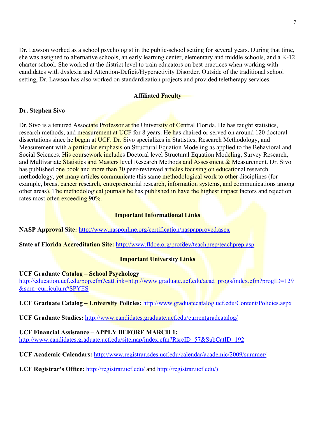Dr. Lawson worked as a school psychologist in the public-school setting for several years. During that time, she was assigned to alternative schools, an early learning center, elementary and middle schools, and a K-12 charter school. She worked at the district level to train educators on best practices when working with candidates with dyslexia and Attention-Deficit/Hyperactivity Disorder. Outside of the traditional school setting, Dr. Lawson has also worked on standardization projects and provided teletherapy services.

#### **Affiliated Faculty**

#### **Dr. Stephen Sivo**

Dr. Sivo is a tenured Associate Professor at the University of Central Florida. He has taught statistics, research methods, and measurement at UCF for 8 years. He has chaired or served on around 120 doctoral dissertations since he began at UCF. Dr. Sivo specializes in Statistics, Research Methodology, and Measurement with a particular emphasis on Structural Equation Modeling as applied to the Behavioral and Social Sciences. His coursework includes Doctoral level Structural Equation Modeling, Survey Research, and Multivariate Statistics and Masters level Research Methods and Assessment & Measurement. Dr. Sivo has published one book and more than 30 peer-reviewed articles focusing on educational research methodology, yet many articles communicate this same methodological work to other disciplines (for example, breast cancer research, entrepreneurial research, information systems, and communications among other areas). The methodological journals he has published in have the highest impact factors and rejection rates most often exceeding 90%.

#### **Important Informational Links**

**NASP Approval Site:** http://www.nasponline.org/certification/naspapproved.aspx

**State of Florida Accreditation Site:** http://www.fldoe.org/profdev/teachprep/teachprep.asp

#### **Important University Links**

**UCF Graduate Catalog – School Psychology**  [http://education.ucf.edu/pop.cfm?catLink=http://www.graduate.ucf.edu/acad\\_progs/index.cfm?progID=129](http://education.ucf.edu/pop.cfm?catLink=http://www.graduate.ucf.edu/acad_progs/index.cfm?progID=129&scrn=curriculum#SPYES) [&scrn=curriculum#SPYES](http://education.ucf.edu/pop.cfm?catLink=http://www.graduate.ucf.edu/acad_progs/index.cfm?progID=129&scrn=curriculum#SPYES)

**UCF Graduate Catalog – University Policies:** <http://www.graduatecatalog.ucf.edu/Content/Policies.aspx>

**UCF Graduate Studies:** [http://www.candidates.graduate.ucf.edu/currentgradcatalog/](http://www.students.graduate.ucf.edu/currentgradcatalog/)

#### **UCF Financial Assistance – APPLY BEFORE MARCH 1:**

[http://www.candidates.graduate.ucf.edu/sitemap/index.cfm?RsrcID=57&SubCatID=192](http://www.students.graduate.ucf.edu/sitemap/index.cfm?RsrcID=57&SubCatID=192)

**UCF Academic Calendars:** <http://www.registrar.sdes.ucf.edu/calendar/academic/2009/summer/>

**UCF Registrar's Office:** <http://registrar.ucf.edu/> and http://registrar.ucf.edu/)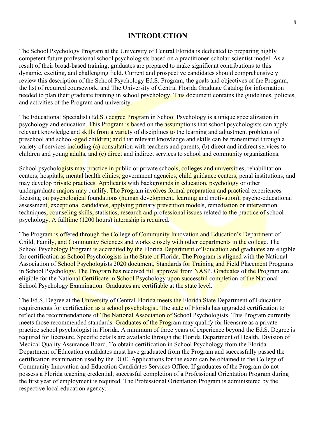## **INTRODUCTION**

The School Psychology Program at the University of Central Florida is dedicated to preparing highly competent future professional school psychologists based on a practitioner-scholar-scientist model. As a result of their broad-based training, graduates are prepared to make significant contributions to this dynamic, exciting, and challenging field. Current and prospective candidates should comprehensively review this description of the School Psychology Ed.S. Program, the goals and objectives of the Program, the list of required coursework, and The University of Central Florida Graduate Catalog for information needed to plan their graduate training in school psychology. This document contains the guidelines, policies, and activities of the Program and university.

The Educational Specialist (Ed.S.) degree Program in School Psychology is a unique specialization in psychology and education. This Program is based on the assumptions that school psychologists can apply relevant knowledge and skills from a variety of disciplines to the learning and adjustment problems of preschool and school-aged children; and that relevant knowledge and skills can be transmitted through a variety of services including (a) consultation with teachers and parents, (b) direct and indirect services to children and young adults, and  $(c)$  direct and indirect services to school and community organizations.

School psychologists may practice in public or private schools, colleges and universities, rehabilitation centers, hospitals, mental health clinics, government agencies, child guidance centers, penal institutions, and may develop private practices. Applicants with backgrounds in education, psychology or other undergraduate majors may qualify. The Program involves formal preparation and practical experiences focusing on psychological foundations (human development, learning and motivation), psycho-educational assessment, exceptional candidates, applying primary prevention models, remediation or intervention techniques, counseling skills, statistics, research and professional issues related to the practice of school psychology. A fulltime (1200 hours) internship is required.

The Program is offered through the College of Community Innovation and Education's Department of Child, Family, and Community Sciences and works closely with other departments in the college. The School Psychology Program is accredited by the Florida Department of Education and graduates are eligible for certification as School Psychologists in the State of Florida. The Program is aligned with the National Association of School Psychologists 2020 document, Standards for Training and Field Placement Programs in School Psychology. The Program has received full approval from NASP. Graduates of the Program are eligible for the National Certificate in School Psychology upon successful completion of the National School Psychology Examination. Graduates are certifiable at the state level.

The Ed.S. Degree at the University of Central Florida meets the Florida State Department of Education requirements for certification as a school psychologist. The state of Florida has upgraded certification to reflect the recommendations of The National Association of School Psychologists. This Program currently meets those recommended standards. Graduates of the Program may qualify for licensure as a private practice school psychologist in Florida. A minimum of three years of experience beyond the Ed.S. Degree is required for licensure. Specific details are available through the Florida Department of Health, Division of Medical Quality Assurance Board. To obtain certification in School Psychology from the Florida Department of Education candidates must have graduated from the Program and successfully passed the certification examination used by the DOE. Applications for the exam can be obtained in the College of Community Innovation and Education Candidates Services Office. If graduates of the Program do not possess a Florida teaching credential, successful completion of a Professional Orientation Program during the first year of employment is required. The Professional Orientation Program is administered by the respective local education agency.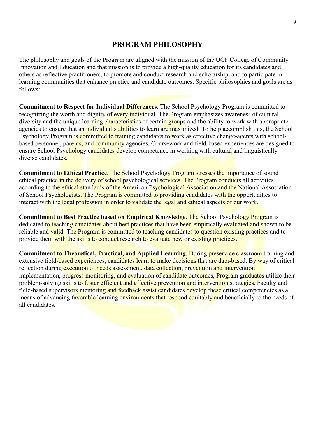## **PROGRAM PHILOSOPHY**

The philosophy and goals of the Program are aligned with the mission of the UCF College of Community Innovation and Education and that mission is to provide a high-quality education for its candidates and others as reflective practitioners, to promote and conduct research and scholarship, and to participate in learning communities that enhance practice and candidate outcomes. Specific philosophies and goals are as follows:

**Commitment to Respect for Individual Differences**. The School Psychology Program is committed to recognizing the worth and dignity of every individual. The Program emphasizes awareness of cultural diversity and the unique learning characteristics of certain groups and the ability to work with appropriate agencies to ensure that an *individual's abilities* to learn are maximized. To help accomplish this, the School Psychology Program is committed to training candidates to work as effective change-agents with schoolbased personnel, parents, and community agencies. Coursework and field-based experiences are designed to ensure School Psychology candidates develop competence in working with cultural and linguistically diverse candidates.

**Commitment to Ethical Practice.** The School Psychology Program stresses the importance of sound ethical practice in the delivery of school psychological services. The Program conducts all activities according to the ethical standards of the American Psychological Association and the National Association of School Psychologists. The Program is committed to providing candidates with the opportunities to interact with the legal profession in order to validate the legal and ethical aspects of our work.

**Commitment to Best Practice based on Empirical Knowledge**. The School Psychology Program is dedicated to teaching candidates about best practices that have been empirically evaluated and shown to be reliable and valid. The Program is committed to teaching candidates to question existing practices and to provide them with the skills to conduct research to evaluate new or existing practices.

**Commitment to Theoretical, Practical, and Applied Learning**. During preservice classroom training and extensive field-based experiences, candidates learn to make decisions that are data-based. By way of critical reflection during execution of needs assessment, data collection, prevention and intervention implementation, progress monitoring, and evaluation of candidate outcomes, Program graduates utilize their problem-solving skills to foster efficient and effective prevention and intervention strategies. Faculty and field-based supervisors mentoring and feedback assist candidates develop these critical competencies as a means of advancing favorable learning environments that respond equitably and beneficially to the needs of all candidates.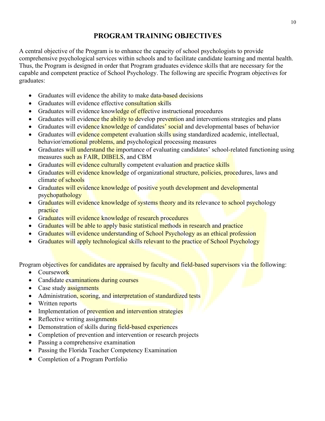## **PROGRAM TRAINING OBJECTIVES**

A central objective of the Program is to enhance the capacity of school psychologists to provide comprehensive psychological services within schools and to facilitate candidate learning and mental health. Thus, the Program is designed in order that Program graduates evidence skills that are necessary for the capable and competent practice of School Psychology. The following are specific Program objectives for graduates:

- Graduates will evidence the ability to make data-based decisions
- Graduates will evidence effective consultation skills
- Graduates will evidence knowledge of effective instructional procedures
- Graduates will evidence the ability to develop prevention and interventions strategies and plans
- Graduates will evidence knowledge of candidates' social and developmental bases of behavior
- Graduates will evidence competent evaluation skills using standardized academic, intellectual, behavior/emotional problems, and psychological processing measures
- Graduates will understand the importance of evaluating candidates' school-related functioning using measures such as FAIR, DIBELS, and CBM
- Graduates will evidence culturally competent evaluation and practice skills
- Graduates will evidence knowledge of organizational structure, policies, procedures, laws and climate of schools
- Graduates will evidence knowledge of positive youth development and developmental psychopathology
- Graduates will evidence knowledge of systems theory and its relevance to school psychology practice
- Graduates will evidence knowledge of research procedures
- Graduates will be able to apply basic statistical methods in research and practice
- Graduates will evidence understanding of School Psychology as an ethical profession
- Graduates will apply technological skills relevant to the practice of School Psychology

Program objectives for candidates are appraised by faculty and field-based supervisors via the following:

- Coursework
- Candidate examinations during courses
- Case study assignments
- Administration, scoring, and interpretation of standardized tests
- Written reports
- Implementation of prevention and intervention strategies
- Reflective writing assignments
- Demonstration of skills during field-based experiences
- Completion of prevention and intervention or research projects
- Passing a comprehensive examination
- Passing the Florida Teacher Competency Examination
- Completion of a Program Portfolio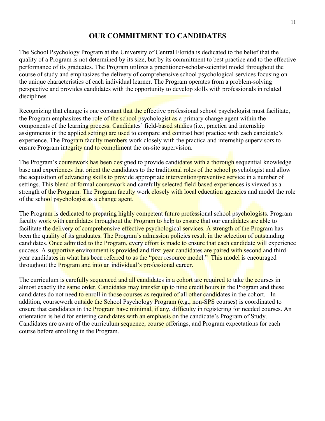## **OUR COMMITMENT TO CANDIDATES**

The School Psychology Program at the University of Central Florida is dedicated to the belief that the quality of a Program is not determined by its size, but by its commitment to best practice and to the effective performance of its graduates. The Program utilizes a practitioner-scholar-scientist model throughout the course of study and emphasizes the delivery of comprehensive school psychological services focusing on the unique characteristics of each individual learner. The Program operates from a problem-solving perspective and provides candidates with the opportunity to develop skills with professionals in related disciplines.

Recognizing that change is one constant that the effective professional school psychologist must facilitate, the Program emphasizes the role of the school psychologist as a primary change agent within the components of the learning process. Candidates' field-based studies (i.e., practica and internship assignments in the applied setting) are used to compare and contrast best practice with each candidate's experience. The Program faculty members work closely with the practica and internship supervisors to ensure Program integrity and to compliment the on-site supervision.

The Program's coursework has been designed to provide candidates with a thorough sequential knowledge base and experiences that orient the candidates to the traditional roles of the school psychologist and allow the acquisition of advancing skills to provide appropriate intervention/preventive service in a number of settings. This blend of formal coursework and carefully selected field-based experiences is viewed as a strength of the Program. The Program faculty work closely with local education agencies and model the role of the school psychologist as a change agent.

The Program is dedicated to preparing highly competent future professional school psychologists. Program faculty work with candidates throughout the Program to help to ensure that our candidates are able to facilitate the delivery of comprehensive effective psychological services. A strength of the Program has been the quality of its graduates. The Program's admission policies result in the selection of outstanding candidates. Once admitted to the Program, every effort is made to ensure that each candidate will experience success. A supportive environment is provided and first-year candidates are paired with second and thirdyear candidates in what has been referred to as the "peer resource model." This model is encouraged throughout the **Program and into an individual's professional career.** 

The curriculum is carefully sequenced and all candidates in a cohort are required to take the courses in almost exactly the same order. Candidates may transfer up to nine credit hours in the Program and these candidates do not need to enroll in those courses as required of all other candidates in the cohort. In addition, coursework outside the School Psychology Program (e.g., non-SPS courses) is coordinated to ensure that candidates in the **Program have minimal, if any, difficulty in registering for needed courses.** An orientation is held for entering candidates with an emphasis on the candidate's Program of Study. Candidates are aware of the curriculum sequence, course offerings, and Program expectations for each course before enrolling in the Program.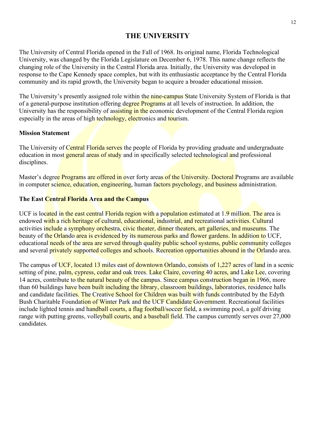## **THE UNIVERSITY**

The University of Central Florida opened in the Fall of 1968. Its original name, Florida Technological University, was changed by the Florida Legislature on December 6, 1978. This name change reflects the changing role of the University in the Central Florida area. Initially, the University was developed in response to the Cape Kennedy space complex, but with its enthusiastic acceptance by the Central Florida community and its rapid growth, the University began to acquire a broader educational mission.

The University's presently assigned role within the nine-campus State University System of Florida is that of a general-purpose institution offering degree Programs at all levels of instruction. In addition, the University has the responsibility of assisting in the economic development of the Central Florida region especially in the areas of high technology, electronics and tourism.

#### **Mission Statement**

The University of Central Florida serves the people of Florida by providing graduate and undergraduate education in most general areas of study and in specifically selected technological and professional disciplines.

Master's degree Programs are offered in over forty areas of the University. Doctoral Programs are available in computer science, education, engineering, human factors psychology, and business administration.

#### **The East Central Florida Area and the Campus**

UCF is located in the east central Florida region with a population estimated at 1.9 million. The area is endowed with a rich heritage of cultural, educational, industrial, and recreational activities. Cultural activities include a symphony orchestra, civic theater, dinner theaters, art galleries, and museums. The beauty of the Orlando area is evidenced by its numerous parks and flower gardens. In addition to UCF, educational needs of the area are served through quality public school systems, public community colleges and several privately supported colleges and schools. Recreation opportunities abound in the Orlando area.

The campus of UCF, located 13 miles east of downtown Orlando, consists of 1,227 acres of land in a scenic setting of pine, palm, cypress, cedar and oak trees. Lake Claire, covering 40 acres, and Lake Lee, covering 14 acres, contribute to the natural beauty of the campus. Since campus construction began in 1966, more than 60 buildings have been built including the library, classroom buildings, laboratories, residence halls and candidate facilities. The Creative School for Children was built with funds contributed by the Edyth Bush Charitable Foundation of Winter Park and the UCF Candidate Government. Recreational facilities include lighted tennis and handball courts, a flag football/soccer field, a swimming pool, a golf driving range with putting greens, volleyball courts, and a baseball field. The campus currently serves over 27,000 candidates.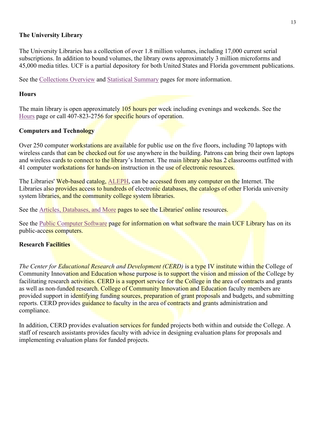#### **The University Library**

The University Libraries has a collection of over 1.8 million volumes, including 17,000 current serial subscriptions. In addition to bound volumes, the library owns approximately 3 million microforms and 45,000 media titles. UCF is a partial depository for both United States and Florida government publications.

See the [Collections Overview](http://library.ucf.edu/CollectionMgmt/CollectionsOverview.asp) and [Statistical Summary](http://library.ucf.edu/Administration/FactsFigures/StatSum.asp) pages for more information.

#### **Hours**

The main library is open approximately 105 hours per week including evenings and weekends. See the [Hours](http://library.ucf.edu/Administration/Hours/Default.asp) page or call 407-823-2756 for specific hours of operation.

#### **Computers and Technology**

Over 250 computer workstations are available for public use on the five floors, including 70 laptops with wireless cards that can be checked out for use anywhere in the building. Patrons can bring their own laptops and wireless cards to connect to the library's Internet. The main library also has 2 classrooms outfitted with 41 computer workstations for hands-on instruction in the use of electronic resources.

The Libraries' Web-based catalog, [ALEPH,](http://cf.aleph.fcla.edu/F) can be accessed from any computer on the Internet. The Libraries also provides access to hundreds of electronic databases, the catalogs of other Florida university system libraries, and the community college system libraries.

See the [Articles, Databases, and More](http://library.ucf.edu/Databases/default.asp) pages to see the Libraries' online resources.

See the [Public Computer Software](http://library.ucf.edu/Systems/PublicPCSoftware.asp) page for information on what software the main UCF Library has on its public-access computers.

#### **Research Facilities**

*The Center for Educational Research and Development (CERD)* is a type IV institute within the College of Community Innovation and Education whose purpose is to support the vision and mission of the College by facilitating research activities. CERD is a support service for the College in the area of contracts and grants as well as non-funded research. College of Community Innovation and Education faculty members are provided support in identifying funding sources, preparation of grant proposals and budgets, and submitting reports. CERD provides guidance to faculty in the area of contracts and grants administration and compliance.

In addition, CERD provides evaluation services for funded projects both within and outside the College. A staff of research assistants provides faculty with advice in designing evaluation plans for proposals and implementing evaluation plans for funded projects.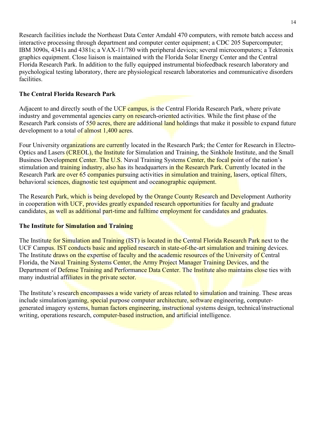Research facilities include the Northeast Data Center Amdahl 470 computers, with remote batch access and interactive processing through department and computer center equipment; a CDC 205 Supercomputer; IBM 3090s, 4341s and 4381s; a VAX-11/780 with peripheral devices; several microcomputers; a Tektronix graphics equipment. Close liaison is maintained with the Florida Solar Energy Center and the Central Florida Research Park. In addition to the fully equipped instrumental biofeedback research laboratory and psychological testing laboratory, there are physiological research laboratories and communicative disorders facilities.

#### **The Central Florida Research Park**

Adjacent to and directly south of the UCF campus, is the Central Florida Research Park, where private industry and governmental agencies carry on research-oriented activities. While the first phase of the Research Park consists of 550 acres, there are additional land holdings that make it possible to expand future development to a total of almost 1,400 acres.

Four University organizations are currently located in the Research Park; the Center for Research in Electro-Optics and Lasers *(CREOL), the Institute for Simulation and Training, the Sinkhole Institute, and the Small* Business Development Center. The U.S. Naval Training Systems Center, the focal point of the nation's stimulation and **training industry, also has** its headquarters in the Research Park. Currently located in the Research Park are over 65 companies pursuing activities in simulation and training, lasers, optical filters, behavioral sciences, diagnostic test equipment and oceanographic equipment.

The Research Park, which is being developed by the Orange County Research and Development Authority in cooperation with UCF, provides greatly expanded research opportunities for faculty and graduate candidates, as well as additional part-time and fulltime employment for candidates and graduates.

#### **The Institute for Simulation and Training**

The Institute for Simulation and Training (IST) is located in the Central Florida Research Park next to the UCF Campus. IST conducts basic and applied research in state-of-the-art simulation and training devices. The Institute draws on the expertise of faculty and the academic resources of the University of Central Florida, the Naval Training Systems Center, the Army Project Manager Training Devices, and the Department of Defense Training and Performance Data Center. The Institute also maintains close ties with many industrial affiliates in the private sector.

The Institute's research encompasses a wide variety of areas related to simulation and training. These areas include simulation/gaming, special purpose computer architecture, software engineering, computergenerated imagery systems, human factors engineering, instructional systems design, technical/instructional writing, operations research, computer-based instruction, and artificial intelligence.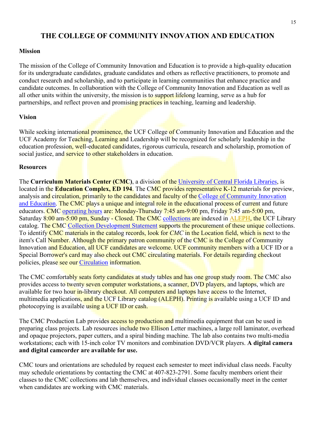## **THE COLLEGE OF COMMUNITY INNOVATION AND EDUCATION**

#### **Mission**

The mission of the College of Community Innovation and Education is to provide a high-quality education for its undergraduate candidates, graduate candidates and others as reflective practitioners, to promote and conduct research and scholarship, and to participate in learning communities that enhance practice and candidate outcomes. In collaboration with the College of Community Innovation and Education as well as all other units within the university, the mission is to support lifelong learning, serve as a hub for partnerships, and reflect proven and promising practices in teaching, learning and leadership.

#### **Vision**

While seeking international prominence, the UCF College of Community Innovation and Education and the UCF Academy for Teaching, Learning and Leadership will be recognized for scholarly leadership in the education profession, well-educated candidates, rigorous curricula, research and scholarship, promotion of social justice, and service to other stakeholders in education.

#### **Resources**

The **Curriculum Materials Center (CMC)**, a division of the [University of Central Florida Libraries,](http://library.ucf.edu/) is located in the **Education Complex, ED 194**. The CMC provides representative K-12 materials for preview, analysis and circulation, primarily to the candidates and faculty of the [College of Community Innovation](http://education.ucf.edu/)  [and Education.](http://education.ucf.edu/) The CMC plays a unique and integral role in the educational process of current and future educators. CMC [operating hours](http://library.ucf.edu/CMC/Hours.asp) are: Monday-Thursday 7:45 am-9:00 pm, Friday 7:45 am-5:00 pm, Saturday 8:00 am-5:00 pm, Sunday - Closed. The CMC [collections](http://library.ucf.edu/CMC/Collections.asp) are indexed in [ALEPH,](http://cf.aleph.fcla.edu/F) the UCF Library catalog. The CMC [Collection Development Statement](http://library.ucf.edu/CMC/CMCCDpolicy.pdf) supports the procurement of these unique collections. To identify CMC materials in the catalog records, look for *CMC* in the Location field, which is next to the item's Call Number. Although the primary patron community of the CMC is the College of Community Innovation and Education, all UCF candidates are welcome. UCF community members with a UCF ID or a Special Borrower's card may also check out CMC circulating materials. For details regarding checkout policies, please see our [Circulation](http://library.ucf.edu/CMC/CircPol.asp) information.

The CMC comfortably seats forty candidates at study tables and has one group study room. The CMC also provides access to twenty seven computer workstations, a scanner, DVD players, and laptops, which are available for two hour in-library checkout. All computers and laptops have access to the Internet, multimedia applications, and the UCF Library catalog (ALEPH). Printing is available using a UCF ID and photocopying is available using a UCF ID or cash.

The CMC Production Lab provides access to production and multimedia equipment that can be used in preparing class projects. Lab resources include two Ellison Letter machines, a large roll laminator, overhead and opaque projectors, paper cutters, and a spiral binding machine. The lab also contains two multi-media workstations; each with 15-inch color TV monitors and combination DVD/VCR players. **A digital camera and digital camcorder are available for use.**

CMC tours and orientations are scheduled by request each semester to meet individual class needs. Faculty may schedule orientations by contacting the CMC at 407-823-2791. Some faculty members orient their classes to the CMC collections and lab themselves, and individual classes occasionally meet in the center when candidates are working with CMC materials.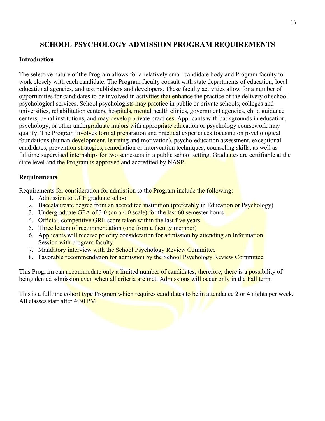## **SCHOOL PSYCHOLOGY ADMISSION PROGRAM REQUIREMENTS**

#### **Introduction**

The selective nature of the Program allows for a relatively small candidate body and Program faculty to work closely with each candidate. The Program faculty consult with state departments of education, local educational agencies, and test publishers and developers. These faculty activities allow for a number of opportunities for candidates to be involved in activities that enhance the practice of the delivery of school psychological services. School psychologists may practice in public or private schools, colleges and universities, rehabilitation centers, hospitals, mental health clinics, government agencies, child guidance centers, penal institutions, and may develop private practices. Applicants with backgrounds in education, psychology, or other undergraduate majors with appropriate education or psychology coursework may qualify. The Program involves formal preparation and practical experiences focusing on psychological foundations (human development, learning and motivation), psycho-education assessment, exceptional candidates, prevention strategies, remediation or intervention techniques, counseling skills, as well as fulltime supervised internships for two semesters in a public school setting. Graduates are certifiable at the state level and the **Program** is approved and accredited by NASP.

#### **Requirements**

Requirements for consideration for admission to the Program include the following:

- 1. Admission to UCF graduate school
- 2. Baccalaureate degree from an accredited institution (preferably in Education or Psychology)
- 3. Undergraduate GPA of 3.0 (on a 4.0 scale) for the last 60 semester hours
- 4. Official, competitive GRE score taken within the last five years
- 5. Three letters of recommendation (one from a faculty member)
- 6. Applicants will receive priority consideration for admission by attending an Information Session with program faculty
- 7. Mandatory interview with the School Psychology Review Committee
- 8. Favorable recommendation for admission by the School Psychology Review Committee

This Program can accommodate only a limited number of candidates; therefore, there is a possibility of being denied admission even when all criteria are met. Admissions will occur only in the Fall term.

This is a fulltime cohort type Program which requires candidates to be in attendance 2 or 4 nights per week. All classes start after 4:30 PM.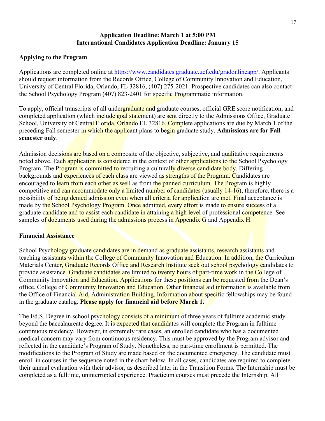#### **Application Deadline: March 1 at 5:00 PM International Candidates Application Deadline: January 15**

#### **Applying to the Program**

Applications are completed online at [https://www.candidates.graduate.ucf.edu/gradonlineapp/.](https://www.students.graduate.ucf.edu/gradonlineapp/) Applicants should request information from the Records Office, College of Community Innovation and Education, University of Central Florida, Orlando, FL 32816, (407) 275-2021. Prospective candidates can also contact the School Psychology Program (407) 823-2401 for specific Programmatic information.

To apply, official transcripts of all undergraduate and graduate courses, official GRE score notification, and completed application (which include goal statement) are sent directly to the Admissions Office, Graduate School, University of Central Florida, Orlando FL 32816. Complete applications are due by March 1 of the preceding Fall semester in which the applicant plans to begin graduate study. **Admissions are for Fall semester only**.

Admission decisions are based on a composite of the objective, subjective, and qualitative requirements noted above. Each application is considered in the context of other applications to the School Psychology Program. The Program is committed to recruiting a culturally diverse candidate body. Differing backgrounds and experiences of each class are viewed as strengths of the Program. Candidates are encouraged to learn from each other as well as from the panned curriculum. The Program is highly competitive and can accommodate only a limited number of candidates (usually 14-16); therefore, there is a possibility of being denied admission even when all criteria for application are met. Final acceptance is made by the School Psychology Program. Once admitted, every effort is made to ensure success of a graduate candidate and to assist each candidate in attaining a high level of professional competence. See samples of documents used during the admissions process in Appendix G and Appendix H.

#### **Financial Assistance**

School Psychology graduate candidates are in demand as graduate assistants, research assistants and teaching assistants within the College of Community Innovation and Education. In addition, the Curriculum Materials Center, Graduate Records Office and Research Institute seek out school psychology candidates to provide assistance. Graduate candidates are limited to twenty hours of part-time work in the College of Community Innovation and Education. Applications for these positions can be requested from the Dean's office, College of Community Innovation and Education. Other financial aid information is available from the Office of Financial Aid, Administration Building. Information about specific fellowships may be found in the graduate catalog. **Please apply for financial aid before March 1.** 

The Ed.S. Degree in school psychology consists of a minimum of three years of fulltime academic study beyond the baccalaureate degree. It is expected that candidates will complete the Program in fulltime continuous residency. However, in extremely rare cases, an enrolled candidate who has a documented medical concern may vary from continuous residency. This must be approved by the Program advisor and reflected in the candidate's Program of Study. Nonetheless, no part-time enrollment is permitted. The modifications to the Program of Study are made based on the documented emergency. The candidate must enroll in courses in the sequence noted in the chart below. In all cases, candidates are required to complete their annual evaluation with their advisor, as described later in the Transition Forms. The Internship must be completed as a fulltime, uninterrupted experience. Practicum courses must precede the Internship. All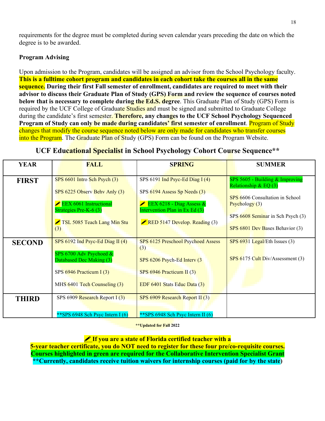requirements for the degree must be completed during seven calendar years preceding the date on which the degree is to be awarded.

#### **Program Advising**

Upon admission to the Program, candidates will be assigned an advisor from the School Psychology faculty. **This is a fulltime cohort program and candidates in each cohort take the courses all in the same sequence. During their first Fall semester of enrollment, candidates are required to meet with their advisor to discuss their Graduate Plan of Study (GPS) Form and review the sequence of courses noted below that is necessary to complete during the Ed.S. degree**. This Graduate Plan of Study (GPS) Form is required by the UCF College of Graduate Studies and must be signed and submitted to Graduate College during the candidate's first semester. **Therefore, any changes to the UCF School Psychology Sequenced Program of Study can only be made during candidates' first semester of enrollment**. Program of Study changes that modify the course sequence noted below are only made for candidates who transfer courses into the Program. The Graduate Plan of Study (GPS) Form can be found on the Program Website.

| <b>YEAR</b>   | <b>FALL</b>                                                                                                                                                      | <b>SPRING</b>                                                                                                                                                         | <b>SUMMER</b>                                                                                                                                                                           |
|---------------|------------------------------------------------------------------------------------------------------------------------------------------------------------------|-----------------------------------------------------------------------------------------------------------------------------------------------------------------------|-----------------------------------------------------------------------------------------------------------------------------------------------------------------------------------------|
| <b>FIRST</b>  | SPS 6601 Intro Sch Psych (3)<br>SPS 6225 Observ Behy Anly (3)<br><b>EEX 6061 Instructional</b><br>Strategies Pre-K- $6(3)$<br>TSL 5085 Teach Lang Min Stu<br>(3) | SPS 6191 Ind Psyc-Ed Diag I $(4)$<br>SPS 6194 Assess Sp Needs (3)<br>EEX 6218 - Diag Assess $\&$<br>Intervention Plan in Ex Ed $(3)$<br>RED 5147 Develop. Reading (3) | SPS 5605 - Building & Improving<br>Relationship & EQ $(3)$<br>SPS 6606 Consultation in School<br>Psychology (3)<br>SPS 6608 Seminar in Sch Psych (3)<br>SPS 6801 Dev Bases Behavior (3) |
| <b>SECOND</b> | SPS $6192$ Ind Psyc-Ed Diag II (4)<br>SPS 6700 Adv Psychoed &<br>Databased Dec Making (3)<br>SPS $6946$ Practicum I $(3)$<br>MHS 6401 Tech Counseling (3)        | SPS 6125 Preschool Psychoed Assess<br>(3)<br>SPS 6206 Psych-Ed Interv (3<br>SPS 6946 Practicum II (3)<br>EDF 6401 Stats Educ Data (3)                                 | $SPS 6931$ Legal/Eth Issues (3)<br>$SPS 6175$ Cult Div/Assessment (3)                                                                                                                   |
| <b>THIRD</b>  | SPS 6909 Research Report $I(3)$<br>** SPS 6948 Sch Psyc Intern I $(6)$                                                                                           | SPS $6909$ Research Report II $(3)$<br>** SPS 6948 Sch Psyc Intern II $(6)$                                                                                           |                                                                                                                                                                                         |

#### **UCF Educational Specialist in School Psychology Cohort Course Sequence\*\***

**\*\*Updated for Fall 2022**

#### **If you are a state of Florida certified teacher with a**

**5-year teacher certificate, you do NOT need to register for these four pre/co-requisite courses. Courses highlighted in green are required for the Collaborative Intervention Specialist Grant \*\*Currently, candidates receive tuition waivers for internship courses (paid for by the state)**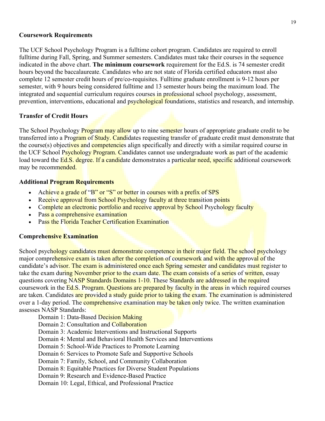#### **Coursework Requirements**

The UCF School Psychology Program is a fulltime cohort program. Candidates are required to enroll fulltime during Fall, Spring, and Summer semesters. Candidates must take their courses in the sequence indicated in the above chart. **The minimum coursework** requirement for the Ed.S. is 74 semester credit hours beyond the baccalaureate. Candidates who are not state of Florida certified educators must also complete 12 semester credit hours of pre/co-requisites. Fulltime graduate enrollment is 9-12 hours per semester, with 9 hours being considered fulltime and 13 semester hours being the maximum load. The integrated and sequential curriculum requires courses in professional school psychology, assessment, prevention, interventions, educational and psychological foundations, statistics and research, and internship.

#### **Transfer of Credit Hours**

The School Psychology Program may allow up to nine semester hours of appropriate graduate credit to be transferred into a Program of Study. Candidates requesting transfer of graduate credit must demonstrate that the course(s) objectives and competencies align specifically and directly with a similar required course in the UCF School Psychology Program. Candidates cannot use undergraduate work as part of the academic load toward the Ed.S. degree. If a candidate demonstrates a particular need, specific additional coursework may be recommended.

#### **Additional Program Requirements**

- Achieve a grade of "B" or "S" or better in courses with a prefix of SPS
- Receive approval from School Psychology faculty at three transition points
- Complete an electronic portfolio and receive approval by School Psychology faculty
- Pass a comprehensive examination
- Pass the Florida Teacher Certification Examination

#### **Comprehensive Examination**

School psychology candidates must demonstrate competence in their major field. The school psychology major comprehensive exam is taken after the completion of coursework and with the approval of the candidate's advisor. The exam is administered once each Spring semester and candidates must register to take the exam during November prior to the exam date. The exam consists of a series of written, essay questions covering NASP Standards Domains 1-10. These Standards are addressed in the required coursework in the Ed.S. Program. Questions are prepared by faculty in the areas in which required courses are taken. Candidates are provided a study guide prior to taking the exam. The examination is administered over a 1-day period. The comprehensive examination may be taken only twice. The written examination assesses NASP Standards:

- Domain 1: Data-Based Decision Making
- Domain 2: Consultation and Collaboration
- Domain 3: Academic Interventions and Instructional Supports
- Domain 4: Mental and Behavioral Health Services and Interventions
- Domain 5: School-Wide Practices to Promote Learning
- Domain 6: Services to Promote Safe and Supportive Schools
- Domain 7: Family, School, and Community Collaboration
- Domain 8: Equitable Practices for Diverse Student Populations
- Domain 9: Research and Evidence-Based Practice
- Domain 10: Legal, Ethical, and Professional Practice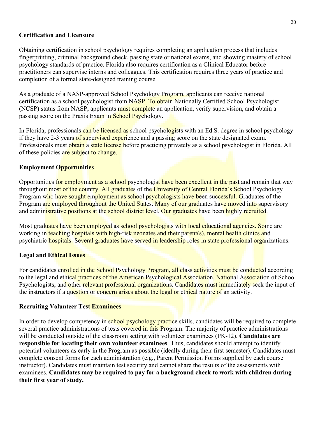#### **Certification and Licensure**

Obtaining certification in school psychology requires completing an application process that includes fingerprinting, criminal background check, passing state or national exams, and showing mastery of school psychology standards of practice. Florida also requires certification as a Clinical Educator before practitioners can supervise interns and colleagues. This certification requires three years of practice and completion of a formal state-designed training course.

As a graduate of a NASP-approved School Psychology Program, applicants can receive national certification as a school psychologist from NASP. To obtain Nationally Certified School Psychologist (NCSP) status from NASP, applicants must complete an application, verify supervision, and obtain a passing score on the Praxis Exam in School Psychology.

In Florida, professionals can be licensed as school psychologists with an Ed.S. degree in school psychology if they have 2-3 years of supervised experience and a passing score on the state designated exam. Professionals must obtain a state license before practicing privately as a school psychologist in Florida. All of these policies are subject to change.

#### **Employment Opportunities**

Opportunities for employment as a school psychologist have been excellent in the past and remain that way throughout most of the country. All graduates of the University of Central Florida's School Psychology Program who have sought employment as school psychologists have been successful. Graduates of the Program are employed throughout the United States. Many of our graduates have moved into supervisory and administrative positions at the school district level. Our graduates have been highly recruited.

Most graduates have been employed as school psychologists with local educational agencies. Some are working in teaching hospitals with high-risk neonates and their parent(s), mental health clinics and psychiatric hospitals. Several graduates have served in leadership roles in state professional organizations.

#### **Legal and Ethical Issues**

For candidates enrolled in the School Psychology Program, all class activities must be conducted according to the legal and ethical practices of the American Psychological Association, National Association of School Psychologists, and other relevant professional organizations. Candidates must immediately seek the input of the instructors if a question or concern arises about the legal or ethical nature of an activity.

#### **Recruiting Volunteer Test Examinees**

In order to develop competency in school psychology practice skills, candidates will be required to complete several practice administrations of tests covered in this Program. The majority of practice administrations will be conducted outside of the classroom setting with volunteer examinees (PK-12). **Candidates are responsible for locating their own volunteer examinees**. Thus, candidates should attempt to identify potential volunteers as early in the Program as possible (ideally during their first semester). Candidates must complete consent forms for each administration (e.g., Parent Permission Forms supplied by each course instructor). Candidates must maintain test security and cannot share the results of the assessments with examinees. **Candidates may be required to pay for a background check to work with children during their first year of study.**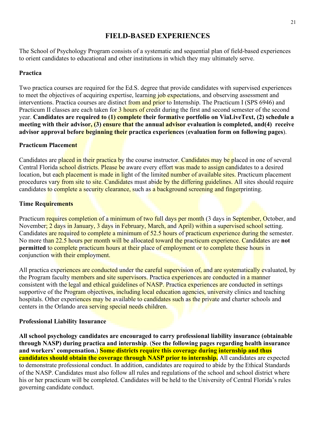## **FIELD-BASED EXPERIENCES**

The School of Psychology Program consists of a systematic and sequential plan of field-based experiences to orient candidates to educational and other institutions in which they may ultimately serve.

#### **Practica**

Two practica courses are required for the Ed.S. degree that provide candidates with supervised experiences to meet the objectives of acquiring expertise, learning job expectations, and observing assessment and interventions. Practica courses are distinct from and prior to Internship. The Practicum I (SPS 6946) and Practicum II classes are each taken for 3 hours of credit during the first and second semester of the second year. **Candidates are required to (1) complete their formative portfolio on ViaLiveText, (2) schedule a meeting with their advisor, (3) ensure that the annual advisor evaluation is completed, and(4) receive advisor approval before beginning their practica experiences** (**evaluation form on following pages**).

#### **Practicum Placement**

Candidates are placed in their practica by the course instructor. Candidates may be placed in one of several Central Florida school districts. Please be aware every effort was made to assign candidates to a desired location, but each placement is made in light of the limited number of available sites. Practicum placement procedures vary from site to site. Candidates must abide by the differing guidelines. All sites should require candidates to complete a security clearance, such as a background screening and fingerprinting.

#### **Time Requirements**

Practicum requires completion of a minimum of two full days per month (3 days in September, October, and November; 2 days in January, 3 days in February, March, and April) within a supervised school setting. Candidates are required to complete a minimum of 52.5 hours of practicum experience during the semester. No more than 22.5 hours per month will be allocated toward the practicum experience. Candidates are **not permitted** to complete practicum hours at their place of employment or to complete these hours in conjunction with their employment.

All practica experiences are conducted under the careful supervision of, and are systematically evaluated, by the Program faculty members and site supervisors. Practica experiences are conducted in a manner consistent with the legal and ethical guidelines of NASP. Practica experiences are conducted in settings supportive of the Program objectives, including local education agencies, university clinics and teaching hospitals. Other experiences may be available to candidates such as the private and charter schools and centers in the Orlando area serving special needs children.

#### **Professional Liability Insurance**

**All school psychology candidates are encouraged to carry professional liability insurance (obtainable through NASP) during practica and internship**. (**See the following pages regarding health insurance and workers' compensation.**) **Some districts require this coverage during internship and thus candidates should obtain the coverage through NASP prior to internship.** All candidates are expected to demonstrate professional conduct. In addition, candidates are required to abide by the Ethical Standards of the NASP. Candidates must also follow all rules and regulations of the school and school district where his or her practicum will be completed. Candidates will be held to the University of Central Florida's rules governing candidate conduct.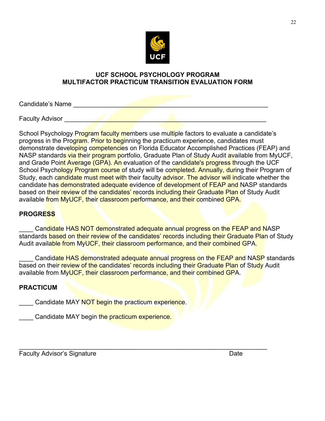

#### **UCF SCHOOL PSYCHOLOGY PROGRAM MULTIFACTOR PRACTICUM TRANSITION EVALUATION FORM**

Candidate's Name

Faculty Advisor \_\_\_\_\_\_\_\_\_\_\_\_\_\_\_\_\_\_\_\_\_\_\_\_\_\_\_\_\_\_\_\_\_\_\_\_\_\_\_\_\_\_\_\_\_\_\_\_\_\_\_\_\_\_\_\_\_

School Psychology Program faculty members use multiple factors to evaluate a candidate's progress in the Program. Prior to beginning the practicum experience, candidates must demonstrate developing competencies on Florida Educator Accomplished Practices (FEAP) and NASP standards via their program portfolio, Graduate Plan of Study Audit available from MyUCF, and Grade Point Average (GPA). An evaluation of the candidate's progress through the UCF School Psychology Program course of study will be completed. Annually, during their Program of Study, each candidate must meet with their faculty advisor. The advisor will indicate whether the candidate has demonstrated adequate evidence of development of FEAP and NASP standards based on their review of the candidates' records including their Graduate Plan of Study Audit available from MyUCF, their classroom performance, and their combined GPA.

#### **PROGRESS**

Candidate HAS NOT demonstrated adequate annual progress on the FEAP and NASP standards based on their review of the candidates' records including their Graduate Plan of Study Audit available from MyUCF, their classroom performance, and their combined GPA.

Candidate HAS demonstrated adequate annual progress on the FEAP and NASP standards based on their review of the candidates' records including their Graduate Plan of Study Audit available from MyUCF, their classroom performance, and their combined GPA.

\_\_\_\_\_\_\_\_\_\_\_\_\_\_\_\_\_\_\_\_\_\_\_\_\_\_\_\_\_\_\_\_\_\_\_\_\_\_\_\_\_\_\_\_\_\_\_\_\_\_\_\_\_\_\_\_\_\_\_\_\_\_\_\_\_\_\_\_\_\_

#### **PRACTICUM**

Candidate MAY NOT begin the practicum experience.

Candidate MAY begin the practicum experience.

Faculty Advisor's Signature **Date** Date **Date** Date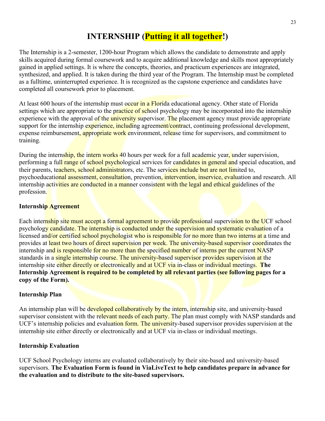# **INTERNSHIP (Putting it all together!)**

The Internship is a 2-semester, 1200-hour Program which allows the candidate to demonstrate and apply skills acquired during formal coursework and to acquire additional knowledge and skills most appropriately gained in applied settings. It is where the concepts, theories, and practicum experiences are integrated, synthesized, and applied. It is taken during the third year of the Program. The Internship must be completed as a fulltime, uninterrupted experience. It is recognized as the capstone experience and candidates have completed all coursework prior to placement.

At least 600 hours of the internship must occur in a Florida educational agency. Other state of Florida settings which are appropriate to the practice of school psychology may be incorporated into the internship experience with the approval of the university supervisor. The placement agency must provide appropriate support for the internship experience, including agreement/contract, continuing professional development, expense reimbursement, appropriate work environment, release time for supervisors, and commitment to training.

During the internship, the intern works 40 hours per week for a full academic year, under supervision, performing a full range of school psychological services for candidates in general and special education, and their parents, teachers, school administrators, etc. The services include but are not limited to, psychoeducational assessment, consultation, prevention, intervention, inservice, evaluation and research. All internship activities are conducted in a manner consistent with the legal and ethical guidelines of the profession.

#### **Internship Agreement**

Each internship site must accept a formal agreement to provide professional supervision to the UCF school psychology candidate. The internship is conducted under the supervision and systematic evaluation of a licensed and/or certified school psychologist who is responsible for no more than two interns at a time and provides at least two hours of direct supervision per week. The university-based supervisor coordinates the internship and is responsible for no more than the specified number of interns per the current NASP standards in a single internship course. The university-based supervisor provides supervision at the internship site either directly or electronically and at UCF via in-class or individual meetings. **The Internship Agreement is required to be completed by all relevant parties (see following pages for a copy of the Form).** 

#### **Internship Plan**

An internship plan will be developed collaboratively by the intern, internship site, and university-based supervisor consistent with the relevant needs of each party. The plan must comply with NASP standards and UCF's internship policies and evaluation form. The university-based supervisor provides supervision at the internship site either directly or electronically and at UCF via in-class or individual meetings.

#### **Internship Evaluation**

UCF School Psychology interns are evaluated collaboratively by their site-based and university-based supervisors. **The Evaluation Form is found in ViaLiveText to help candidates prepare in advance for the evaluation and to distribute to the site-based supervisors.**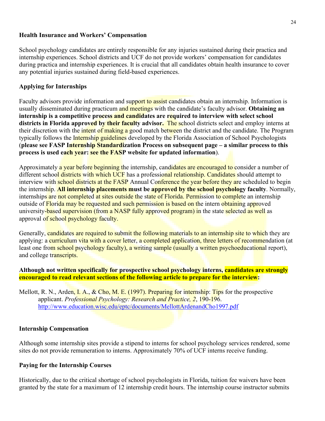#### **Health Insurance and Workers' Compensation**

School psychology candidates are entirely responsible for any injuries sustained during their practica and internship experiences. School districts and UCF do not provide workers' compensation for candidates during practica and internship experiences. It is crucial that all candidates obtain health insurance to cover any potential injuries sustained during field-based experiences.

#### **Applying for Internships**

Faculty advisors provide information and support to assist candidates obtain an internship. Information is usually disseminated during practicum and meetings with the candidate's faculty advisor. **Obtaining an internship is a competitive process and candidates are required to interview with select school districts in Florida approved by their faculty advisor.** The school districts select and employ interns at their discretion with the *intent* of making a good match between the district and the candidate. The Program typically follows the Internship guidelines developed by the Florida Association of School Psychologists (**please see FASP Internship Standardization Process on subsequent page – a similar process to this process is used each year: see the FASP website for updated information**).

Approximately a year before beginning the internship, candidates are encouraged to consider a number of different school districts with which UCF has a professional relationship. Candidates should attempt to interview with school districts at the FASP Annual Conference the year before they are scheduled to begin the internship. **All internship placements must be approved by the school psychology faculty**. Normally, internships are not completed at sites outside the state of Florida. Permission to complete an internship outside of Florida may be requested and such permission is based on the intern obtaining approved university-based supervision (from a NASP fully approved program) in the state selected as well as approval of school psychology faculty.

Generally, candidates are required to submit the following materials to an internship site to which they are applying: a curriculum vita with a cover letter, a completed application, three letters of recommendation (at least one from school psychology faculty), a writing sample (usually a written psychoeducational report), and college transcripts.

#### **Although not written specifically for prospective school psychology interns, candidates are strongly encouraged to read relevant sections of the following article to prepare for the interview:**

Mellott, R. N., Arden, I. A., & Cho, M. E. (1997). Preparing for internship: Tips for the prospective applicant. *Professional Psychology: Research and Practice, 2*, 190-196. <http://www.education.wisc.edu/eptc/documents/MellottArdenandCho1997.pdf>

#### **Internship Compensation**

Although some internship sites provide a stipend to interns for school psychology services rendered, some sites do not provide remuneration to interns. Approximately 70% of UCF interns receive funding.

#### **Paying for the Internship Courses**

Historically, due to the critical shortage of school psychologists in Florida, tuition fee waivers have been granted by the state for a maximum of 12 internship credit hours. The internship course instructor submits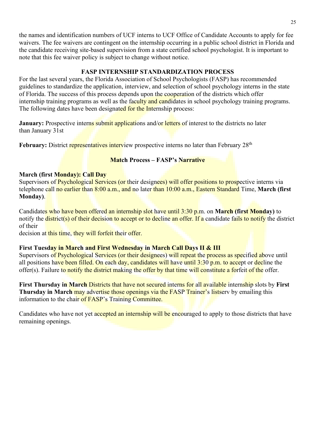the names and identification numbers of UCF interns to UCF Office of Candidate Accounts to apply for fee waivers. The fee waivers are contingent on the internship occurring in a public school district in Florida and the candidate receiving site-based supervision from a state certified school psychologist. It is important to note that this fee waiver policy is subject to change without notice.

#### **FASP INTERNSHIP STANDARDIZATION PROCESS**

For the last several years, the Florida Association of School Psychologists (FASP) has recommended guidelines to standardize the application, interview, and selection of school psychology interns in the state of Florida. The success of this process depends upon the cooperation of the districts which offer internship training programs as well as the faculty and candidates in school psychology training programs. The following dates have been designated for the Internship process:

**January:** Prospective interns submit applications and/or letters of interest to the districts no later than January 31st

February: District representatives interview prospective interns no later than February 28<sup>th</sup>

#### **Match Process – FASP's Narrative**

#### **March (first Monday): Call Day**

Supervisors of Psychological Services (or their designees) will offer positions to prospective interns via telephone call no earlier than 8:00 a.m., and no later than 10:00 a.m., Eastern Standard Time, **March (first Monday)**.

Candidates who have been offered an internship slot have until 3:30 p.m. on **March (first Monday)** to notify the **district(s)** of their decision to accept or to decline an offer. If a candidate fails to notify the district of their

decision at this time, they will forfeit their offer.

#### **First Tuesday in March and First Wednesday in March Call Days II & III**

Supervisors of Psychological Services (or their designees) will repeat the process as specified above until all positions have been filled. On each day, candidates will have until 3:30 p.m. to accept or decline the offer(s). Failure to notify the district making the offer by that time will constitute a forfeit of the offer.

**First Thursday in March** Districts that have not secured interns for all available internship slots by **First Thursday in March** may advertise those openings via the FASP Trainer's listserv by emailing this information to the chair of FASP's Training Committee.

Candidates who have not yet accepted an internship will be encouraged to apply to those districts that have remaining openings.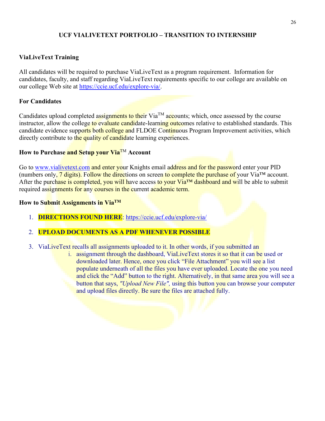#### **UCF VIALIVETEXT PORTFOLIO – TRANSITION TO INTERNSHIP**

#### **ViaLiveText Training**

All candidates will be required to purchase ViaLiveText as a program requirement. Information for candidates, faculty, and staff regarding ViaLiveText requirements specific to our college are available on our college Web site at https://ccie.ucf.edu/explore-via/.

#### **For Candidates**

Candidates upload completed assignments to their  $Via^{TM}$  accounts; which, once assessed by the course instructor, allow the college to evaluate candidate-learning outcomes relative to established standards. This candidate evidence supports both college and FLDOE Continuous Program Improvement activities, which directly contribute to the quality of candidate learning experiences.

#### **How to Purchase and Setup your Via**TM **Account**

Go to [www.vialivetext.com](http://www.vialivetext.com/) and enter your Knights email address and for the password enter your PID (numbers only,  $\frac{7 \text{ digits}}{8}$ . Follow the directions on screen to complete the purchase of your Via<sup>TM</sup> account. After the purchase is completed, you will have access to your Via<sup>™</sup> dashboard and will be able to submit required assignments for any courses in the current academic term.

#### **How to Submit Assignments in ViaTM**

1. **DIRECTIONS FOUND HERE**:<https://ccie.ucf.edu/explore-via/>

#### 2. **UPLOAD DOCUMENTS AS A PDF WHENEVER POSSIBLE**

- 3. ViaLiveText recalls all assignments uploaded to it. In other words, if you submitted an
	- i. assignment through the dashboard, ViaLiveText stores it so that it can be used or downloaded later. Hence, once you click "File Attachment" you will see a list populate underneath of all the files you have ever uploaded. Locate the one you need and click the "Add" button to the right. Alternatively, in that same area you will see a button that says, *"Upload New File",* using this button you can browse your computer and upload files directly. Be sure the files are attached fully.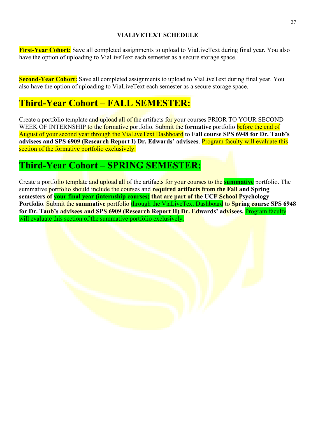## **VIALIVETEXT SCHEDULE**

**First-Year Cohort:** Save all completed assignments to upload to ViaLiveText during final year. You also have the option of uploading to ViaLiveText each semester as a secure storage space.

**Second-Year Cohort:** Save all completed assignments to upload to ViaLiveText during final year. You also have the option of uploading to ViaLiveText each semester as a secure storage space.

# **Third-Year Cohort – FALL SEMESTER:**

Create a portfolio template and upload all of the artifacts for your courses PRIOR TO YOUR SECOND WEEK OF INTERNSHIP to the formative portfolio. Submit the formative portfolio before the end of August of your second year through the ViaLiveText Dashboard to **Fall course SPS 6948 for Dr. Taub's advisees and SPS 6909 (Research Report I) Dr. Edwards' advisees**. Program faculty will evaluate this section of the formative portfolio exclusively.

# **Third-Year Cohort – SPRING SEMESTER:**

Create a portfolio template and upload all of the artifacts for your courses to the **summative** portfolio. The summative portfolio should include the courses and **required artifacts from the Fall and Spring semesters of your final year (internship courses) that are part of the UCF School Psychology Portfolio**. Submit the **summative** portfolio through the ViaLiveText Dashboard to **Spring course SPS 6948 for Dr. Taub's advisees and SPS 6909 (Research Report II) Dr. Edwards' advisees.** Program faculty will evaluate this section of the summative portfolio exclusively.

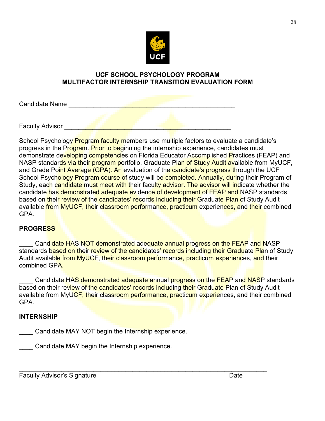

#### **UCF SCHOOL PSYCHOLOGY PROGRAM MULTIFACTOR INTERNSHIP TRANSITION EVALUATION FORM**

Candidate Name

Faculty Advisor \_\_\_\_\_\_\_\_\_\_\_\_\_\_\_\_\_\_\_\_\_\_\_\_\_\_\_\_\_\_\_\_\_\_\_\_\_\_\_\_\_\_\_\_\_\_\_

School Psychology **Program faculty members use multiple factors to evaluate a candidate's** progress in the Program. Prior to beginning the internship experience, candidates must demonstrate developing competencies on Florida Educator Accomplished Practices (FEAP) and NASP standards via their program portfolio, Graduate Plan of Study Audit available from MyUCF, and Grade Point Average (GPA). An evaluation of the candidate's progress through the UCF School Psychology Program course of study will be completed. Annually, during their Program of Study, each candidate must meet with their faculty advisor. The advisor will indicate whether the candidate has demonstrated adequate evidence of development of FEAP and NASP standards based on their review of the candidates' records including their Graduate Plan of Study Audit available from MyUCF, their classroom performance, practicum experiences, and their combined GPA.

#### **PROGRESS**

Candidate HAS NOT demonstrated adequate annual progress on the FEAP and NASP standards based on their review of the candidates' records including their Graduate Plan of Study Audit available from MyUCF, their classroom performance, practicum experiences, and their combined GPA.

Candidate HAS demonstrated adequate annual progress on the FEAP and NASP standards based on their review of the candidates' records including their Graduate Plan of Study Audit available from MyUCF, their classroom performance, practicum experiences, and their combined GPA.

#### **INTERNSHIP**

Candidate MAY NOT begin the Internship experience.

Candidate MAY begin the Internship experience.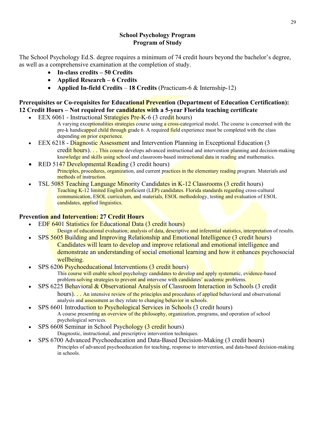#### **School Psychology Program Program of Study**

The School Psychology Ed.S. degree requires a minimum of 74 credit hours beyond the bachelor's degree, as well as a comprehensive examination at the completion of study.

- **In-class credits 50 Credits**
- **Applied Research 6 Credits**
- **Applied In-field Credits 18 Credits** (Practicum-6 & Internship-12)

## **Prerequisites or Co-requisites for Educational Prevention (Department of Education Certification): 12 Credit Hours – Not required for candidates with a 5-year Florida teaching certificate**

- EEX 6061 Instructional Strategies Pre-K-6 (3 credit hours)
	- A varying exceptionalities strategies course using a cross-categorical model. The course is concerned with the pre-k handicapped child through grade 6. A required field experience must be completed with the class depending on prior experience.
- EEX 6218 Diagnostic Assessment and Intervention Planning in Exceptional Education (3 credit hours). . . This course develops advanced instructional and intervention planning and decision-making knowledge and skills using school and classroom-based instructional data in reading and mathematics.
- RED 5147 Developmental Reading (3 credit hours) Principles, procedures, organization, and current practices in the elementary reading program. Materials and methods of instruction.
- TSL 5085 Teaching Language Minority Candidates in K-12 Classrooms (3 credit hours) Teaching K-12 limited English proficient (LEP) candidates. Florida standards regarding cross-cultural communication, ESOL curriculum, and materials, ESOL methodology, testing and evaluation of ESOL candidates, applied linguistics.

## **Prevention and Intervention: 27 Credit Hours**

- EDF 6401 Statistics for Educational Data (3 credit hours)
	- Design of educational evaluation; analysis of data, descriptive and inferential statistics, interpretation of results.
	- SPS 5605 Building and Improving Relationship and Emotional Intelligence (3 credit hours) Candidates will learn to develop and improve relational and emotional intelligence and demonstrate an understanding of social emotional learning and how it enhances psychosocial wellbeing.
- SPS 6206 Psychoeducational Interventions (3 credit hours) This course will enable school psychology candidates to develop and apply systematic, evidence-based problem-solving strategies to prevent and intervene with candidates' academic problems.
- SPS 6225 Behavioral & Observational Analysis of Classroom Interaction in Schools (3 credit hours). . . An intensive review of the principles and procedures of applied behavioral and observational analysis and assessment as they relate to changing behavior in schools.
- SPS 6601 Introduction to Psychological Services in Schools (3 credit hours) A course presenting an overview of the philosophy, organization, programs, and operation of school psychological services.
- SPS 6608 Seminar in School Psychology (3 credit hours) Diagnostic, instructional, and prescriptive intervention techniques.
- SPS 6700 Advanced Psychoeducation and Data-Based Decision-Making (3 credit hours) Principles of advanced psychoeducation for teaching, response to intervention, and data-based decision-making in schools.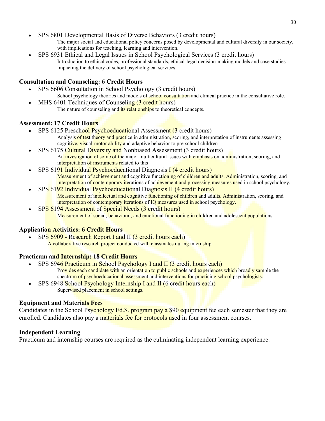- SPS 6801 Developmental Basis of Diverse Behaviors (3 credit hours) The major social and educational policy concerns posed by developmental and cultural diversity in our society, with implications for teaching, learning and intervention.
- SPS 6931 Ethical and Legal Issues in School Psychological Services (3 credit hours) Introduction to ethical codes, professional standards, ethical-legal decision-making models and case studies impacting the delivery of school psychological services.

#### **Consultation and Counseling: 6 Credit Hours**

- SPS 6606 Consultation in School Psychology (3 credit hours) School psychology theories and models of school consultation and clinical practice in the consultative role.
- MHS 6401 Techniques of Counseling (3 credit hours) The nature of counseling and *its relationships* to theoretical concepts.

#### **Assessment: 17 Credit Hours**

- SPS 6125 Preschool Psychoeducational Assessment (3 credit hours) Analysis of test theory and practice in administration, scoring, and interpretation of instruments assessing cognitive, visual-motor ability and adaptive behavior to pre-school children
- SPS 6175 Cultural Diversity and Nonbiased Assessment (3 credit hours) An investigation of some of the major multicultural issues with emphasis on administration, scoring, and interpretation of instruments related to this
- SPS 6191 Individual Psychoeducational Diagnosis I (4 credit hours) Measurement of achievement and cognitive functioning of children and adults. Administration, scoring, and interpretation of contemporary iterations of achievement and processing measures used in school psychology.
- SPS 6192 Individual Psychoeducational Diagnosis II (4 credit hours) Measurement of intellectual and cognitive functioning of children and adults. Administration, scoring, and interpretation of contemporary iterations of IQ measures used in school psychology.
- SPS 6194 Assessment of Special Needs (3 credit hours) Measurement of social, behavioral, and emotional functioning in children and adolescent populations.

#### **Application Activities: 6 Credit Hours**

• SPS 6909 - Research Report I and II (3 credit hours each) A collaborative research project conducted with classmates during internship.

#### **Practicum and Internship: 18 Credit Hours**

- SPS 6946 Practicum in School Psychology I and II (3 credit hours each) Provides each candidate with an orientation to public schools and experiences which broadly sample the
	- spectrum of psychoeducational assessment and interventions for practicing school psychologists. SPS 6948 School Psychology Internship I and II (6 credit hours each)
		- Supervised placement in school settings.

#### **Equipment and Materials Fees**

Candidates in the School Psychology Ed.S. program pay a \$90 equipment fee each semester that they are enrolled. Candidates also pay a materials fee for protocols used in four assessment courses.

#### **Independent Learning**

Practicum and internship courses are required as the culminating independent learning experience.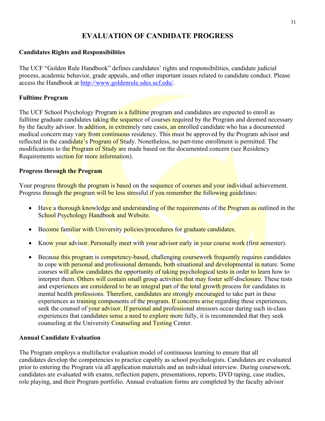## **EVALUATION OF CANDIDATE PROGRESS**

#### **Candidates Rights and Responsibilities**

The UCF "Golden Rule Handbook" defines candidates' rights and responsibilities, candidate judicial process, academic behavior, grade appeals, and other important issues related to candidate conduct. Please access the Handbook at [http://www.goldenrule.sdes.ucf.edu/.](http://www.goldenrule.sdes.ucf.edu/)

#### **Fulltime Program**

The UCF School Psychology Program is a fulltime program and candidates are expected to enroll as fulltime graduate candidates taking the sequence of courses required by the Program and deemed necessary by the faculty advisor. In addition, in extremely rare cases, an enrolled candidate who has a documented medical concern may vary from continuous residency. This must be approved by the Program advisor and reflected in the candidate's Program of Study. Nonetheless, no part-time enrollment is permitted. The modifications to the **Program of Study ar**e made based on the documented concern (see Residency Requirements section for more information).

#### **Progress through the Program**

Your progress through the program is based on the sequence of courses and your individual achievement. Progress through the program will be less stressful if you remember the following guidelines:

- Have a thorough knowledge and understanding of the requirements of the Program as outlined in the School Psychology Handbook and Website.
- Become familiar with University policies/procedures for graduate candidates.
- Know your advisor. Personally meet with your advisor early in your course work (first semester).
- Because this program is competency-based, challenging coursework frequently requires candidates to cope with personal and professional demands, both situational and developmental in nature. Some courses will allow candidates the opportunity of taking psychological tests in order to learn how to interpret them. Others will contain small group activities that may foster self-disclosure. These tests and experiences are considered to be an integral part of the total growth process for candidates in mental health **professions.** Therefore, candidates are strongly encouraged to take part in these experiences as training components of the program. If concerns arise regarding these experiences, seek the counsel of your advisor. If personal and professional stressors occur during such in-class experiences that candidates sense a need to explore more fully, it is recommended that they seek counseling at the University Counseling and Testing Center.

#### **Annual Candidate Evaluation**

The Program employs a multifactor evaluation model of continuous learning to ensure that all candidates develop the competencies to practice capably as school psychologists. Candidates are evaluated prior to entering the Program via all application materials and an individual interview. During coursework, candidates are evaluated with exams, reflection papers, presentations, reports, DVD taping, case studies, role playing, and their Program portfolio. Annual evaluation forms are completed by the faculty advisor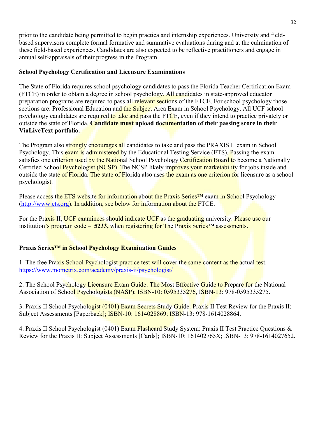prior to the candidate being permitted to begin practica and internship experiences. University and fieldbased supervisors complete formal formative and summative evaluations during and at the culmination of these field-based experiences. Candidates are also expected to be reflective practitioners and engage in annual self-appraisals of their progress in the Program.

#### **School Psychology Certification and Licensure Examinations**

The State of Florida requires school psychology candidates to pass the Florida Teacher Certification Exam (FTCE) in order to obtain a degree in school psychology. All candidates in state-approved educator preparation programs are required to pass all relevant sections of the FTCE. For school psychology those sections are: Professional Education and the Subject Area Exam in School Psychology. All UCF school psychology candidates are required to take and pass the FTCE, even if they intend to practice privately or outside the state of Florida. **Candidate must upload documentation of their passing score in their ViaLiveText portfolio.** 

The Program also strongly encourages all candidates to take and pass the PRAXIS II exam in School Psychology. This exam is administered by the Educational Testing Service (ETS). Passing the exam satisfies one criterion used by the National School Psychology Certification Board to become a Nationally Certified School Psychologist (NCSP). The NCSP likely improves your marketability for jobs inside and outside the state of Florida. The state of Florida also uses the exam as one criterion for licensure as a school psychologist.

Please access the ETS website for information about the Praxis Series<sup>™</sup> exam in School Psychology [\(http://www.ets.org\)](http://www.ets.org/). In addition, see below for information about the FTCE.

For the Praxis II, UCF examinees should indicate UCF as the graduating university. Please use our institution's program code – 5233, when registering for The Praxis Series<sup>TM</sup> assessments.

## **Praxis Series™ in School Psychology Examination Guides**

1. The free Praxis School Psychologist practice test will cover the same content as the actual test. <https://www.mometrix.com/academy/praxis-ii/psychologist/>

2. The School Psychology Licensure Exam Guide: The Most Effective Guide to Prepare for the National Association of School Psychologists (NASP); ISBN-10: 0595335276, ISBN-13: 978-0595335275.

3. Praxis II School Psychologist (0401) Exam Secrets Study Guide: Praxis II Test Review for the Praxis II: Subject Assessments [Paperback]; ISBN-10: 1614028869; ISBN-13: 978-1614028864.

4. Praxis II School Psychologist (0401) Exam Flashcard Study System: Praxis II Test Practice Questions & Review for the Praxis II: Subject Assessments [Cards]; ISBN-10: 161402765X; ISBN-13: 978-1614027652.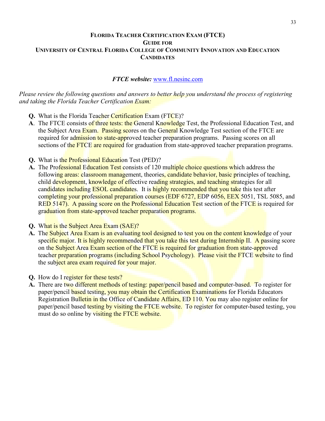#### **FLORIDA TEACHER CERTIFICATION EXAM (FTCE) GUIDE FOR UNIVERSITY OF CENTRAL FLORIDA COLLEGE OF COMMUNITY INNOVATION AND EDUCATION CANDIDATES**

#### *FTCE website:* [www.fl.nesinc.com](http://www.fl.nesinc.com/)

*Please review the following questions and answers to better help you understand the process of registering and taking the Florida Teacher Certification Exam:* 

- **Q.** What is the Florida Teacher Certification Exam (FTCE)?
- **A**. The FTCE consists of three tests: the General Knowledge Test, the Professional Education Test, and the Subject Area Exam. Passing scores on the General Knowledge Test section of the FTCE are required for admission to state-approved teacher preparation programs. Passing scores on all sections of the FTCE are required for graduation from state-approved teacher preparation programs.
- **Q.** What is the Professional Education Test (PED)?
- A. The Professional Education Test consists of 120 multiple choice questions which address the following areas: classroom management, theories, candidate behavior, basic principles of teaching, child development, knowledge of effective reading strategies, and teaching strategies for all candidates including ESOL candidates. It is highly recommended that you take this test after completing your professional preparation courses (EDF 6727, EDP 6056, EEX 5051, TSL 5085, and RED 5147). A passing score on the Professional Education Test section of the FTCE is required for graduation from state-approved teacher preparation programs.
- **Q.** What is the Subject Area Exam (SAE)?
- **A.** The Subject Area Exam is an evaluating tool designed to test you on the content knowledge of your specific major. It is highly recommended that you take this test during Internship II. A passing score on the Subject Area Exam section of the FTCE is required for graduation from state-approved teacher preparation programs (including School Psychology). Please visit the FTCE website to find the subject area exam required for your major.
- **Q.** How do I register for these tests?
- **A.** There are two different methods of testing: paper/pencil based and computer-based. To register for paper/pencil based testing, you may obtain the Certification Examinations for Florida Educators Registration Bulletin in the Office of Candidate Affairs, ED 110. You may also register online for paper/pencil based testing by visiting the FTCE website. To register for computer-based testing, you must do so online by visiting the FTCE website.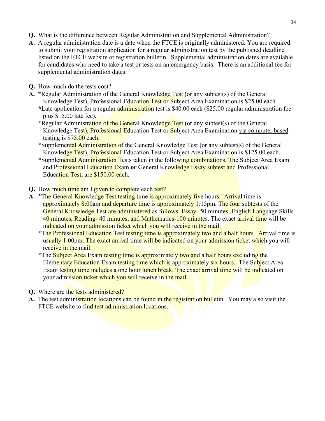- **Q.** What is the difference between Regular Administration and Supplemental Administration?
- A. A regular administration date is a date when the FTCE is originally administered. You are required to submit your registration application for a regular administration test by the published deadline listed on the FTCE website or registration bulletin. Supplemental administration dates are available for candidates who need to take a test or tests on an emergency basis. There is an additional fee for supplemental administration dates.
- **Q.** How much do the tests cost?
- **A. \***Regular Administration of the General Knowledge Test (or any subtest(s) of the General Knowledge Test), Professional Education Test or Subject Area Examination is \$25.00 each. **\***Late application for a regular administration test is \$40.00 each (\$25.00 regular administration fee plus \$15.00 late fee).
	- **\***Regular Administration of the General Knowledge Test (or any subtest(s) of the General Knowledge Test), Professional Education Test or Subject Area Examination via computer based testing is \$75.00 each.
	- **\***Supplemental Administration of the General Knowledge Test (or any subtest(s) of the General Knowledge Test), Professional Education Test or Subject Area Examination is \$125.00 each.
	- **\***Supplemental Administration Tests taken in the following combinations, The Subject Area Exam and Professional Education Exam **or** General Knowledge Essay subtest and Professional Education Test, are \$150.00 each.
- **Q.** How much time am I given to complete each test?
- **A. \***The General Knowledge Test testing time is approximately five hours. Arrival time is approximately 8:00am and departure time is approximately 1:15pm. The four subtests of the General Knowledge Test are administered as follows: Essay- 50 minutes, English Language Skills-40 minutes, Reading-40 minutes, and Mathematics-100 minutes. The exact arrival time will be indicated on your admission ticket which you will receive in the mail.
	- **\***The Professional Education Test testing time is approximately two and a half hours. Arrival time is usually 1:00pm. The exact arrival time will be indicated on your admission ticket which you will receive in the mail.
	- **\***The Subject Area Exam testing time is approximately two and a half hours excluding the Elementary Education Exam testing time which is approximately six hours. The Subject Area Exam testing time includes a one hour lunch break. The exact arrival time will be indicated on your admission ticket which you will receive in the mail.
- **Q.** Where are the tests administered?
- **A.** The test administration locations can be found in the registration bulletin. You may also visit the FTCE website to find test administration locations.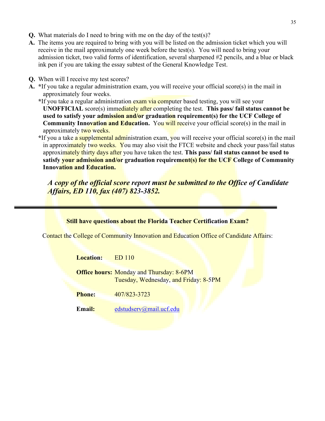- **Q.** What materials do I need to bring with me on the day of the test(s)?
- **A.** The items you are required to bring with you will be listed on the admission ticket which you will receive in the mail approximately one week before the test(s). You will need to bring your admission ticket, two valid forms of identification, several sharpened #2 pencils, and a blue or black ink pen if you are taking the essay subtest of the General Knowledge Test.
- **Q.** When will I receive my test scores?
- **A. \***If you take a regular administration exam, you will receive your official score(s) in the mail in approximately four weeks.

**\***If you take a regular administration exam via computer based testing, you will see your **UNOFFICIAL** score(s) immediately after completing the test. **This pass/ fail status cannot be used to satisfy your admission and/or graduation requirement(s) for the UCF College of Community Innovation and Education.** You will receive your official score(s) in the mail in approximately two weeks.

**\***If you a take a supplemental administration exam, you will receive your official score(s) in the mail in approximately two weeks. You may also visit the FTCE website and check your pass/fail status approximately thirty days after you have taken the test. **This pass/ fail status cannot be used to satisfy your admission and/or graduation requirement(s) for the UCF College of Community Innovation and Education.**

*A copy of the official score report must be submitted to the Office of Candidate Affairs, ED 110, fax (407) 823-3852.*

|                  | <b>Still have questions about the Florida Teacher Certification Exam?</b>                |
|------------------|------------------------------------------------------------------------------------------|
|                  | Contact the College of Community Innovation and Education Office of Candidate Affairs:   |
| <b>Location:</b> | ED 110                                                                                   |
|                  | <b>Office hours: Monday and Thursday: 8-6PM</b><br>Tuesday, Wednesday, and Friday: 8-5PM |
| <b>Phone:</b>    | 407/823-3723                                                                             |
| Email:           | edstudserv@mail.ucf.edu                                                                  |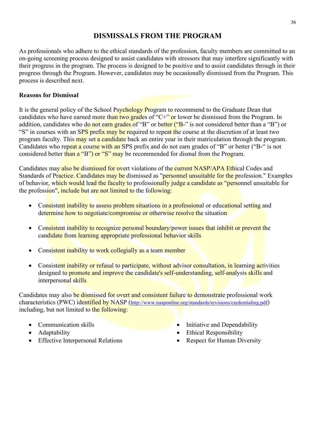## **DISMISSALS FROM THE PROGRAM**

As professionals who adhere to the ethical standards of the profession, faculty members are committed to an on-going screening process designed to assist candidates with stressors that may interfere significantly with their progress in the program. The process is designed to be positive and to assist candidates through in their progress through the Program. However, candidates may be occasionally dismissed from the Program. This process is described next.

#### **Reasons for Dismissal**

It is the general policy of the School Psychology Program to recommend to the Graduate Dean that candidates who have earned more than two grades of "C+" or lower be dismissed from the Program. In addition, candidates who do not earn grades of "B" or better ("B-" is not considered better than a "B") or "S" in courses with an SPS prefix may be required to repeat the course at the discretion of at least two program faculty. This may set a candidate back an entire year in their matriculation through the program. Candidates who repeat a course with an SPS prefix and do not earn grades of "B" or better ("B-" is not considered better than a "B") or "S" may be recommended for dismal from the Program.

Candidates may also be dismissed for overt violations of the current NASP/APA Ethical Codes and Standards of Practice. Candidates may be dismissed as "personnel unsuitable for the profession." Examples of behavior, which would lead the faculty to professionally judge a candidate as "personnel unsuitable for the profession", include but are not limited to the following:

- Consistent inability to assess problem situations in a professional or educational setting and determine how to negotiate/compromise or otherwise resolve the situation
- Consistent inability to recognize personal boundary/power issues that inhibit or prevent the candidate from learning appropriate professional behavior skills
- Consistent inability to work collegially as a team member
- Consistent inability or refusal to participate, without advisor consultation, in learning activities designed to promote and improve the candidate's self-understanding, self-analysis skills and interpersonal skills

Candidates may also be dismissed for overt and consistent failure to demonstrate professional work characteristics (PWC) identified by NASP [\(http://www.nasponline.org/standards/revisions/credentialing.pdf\)](http://www.nasponline.org/standards/revisions/credentialing.pdf) including, but not limited to the following:

- Communication skills
- Adaptability
- Effective Interpersonal Relations
- Initiative and Dependability
- Ethical Responsibility
- Respect for Human Diversity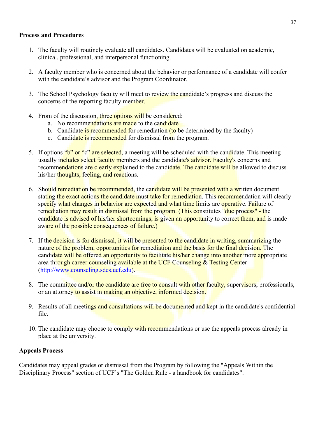#### **Process and Procedures**

- 1. The faculty will routinely evaluate all candidates. Candidates will be evaluated on academic, clinical, professional, and interpersonal functioning.
- 2. A faculty member who is concerned about the behavior or performance of a candidate will confer with the candidate's advisor and the Program Coordinator.
- 3. The School Psychology faculty will meet to review the candidate's progress and discuss the concerns of the reporting faculty member.
- 4. From of the discussion, three options will be considered:
	- a. No recommendations are made to the candidate
	- b. Candidate is recommended for remediation (to be determined by the faculty)
	- c. Candidate is recommended for dismissal from the program.
- 5. If options "b" or "c" are selected, a meeting will be scheduled with the candidate. This meeting usually includes select faculty members and the candidate's advisor. Faculty's concerns and recommendations are clearly explained to the candidate. The candidate will be allowed to discuss his/her thoughts, feeling, and reactions.
- 6. Should remediation be recommended, the candidate will be presented with a written document stating the exact actions the candidate must take for remediation. This recommendation will clearly specify what changes in behavior are expected and what time limits are operative. Failure of remediation may result in dismissal from the program. (This constitutes "due process" - the candidate is advised of his/her shortcomings, is given an opportunity to correct them, and is made aware of the possible consequences of failure.)
- 7. If the decision is for dismissal, it will be presented to the candidate in writing, summarizing the nature of the problem, opportunities for remediation and the basis for the final decision. The candidate will be offered an opportunity to facilitate his/her change into another more appropriate area through career counseling available at the UCF Counseling & Testing Center [\(http://www.counseling.sdes.ucf.edu\)](http://www.counseling.sdes.ucf.edu/).
- 8. The committee and/or the candidate are free to consult with other faculty, supervisors, professionals, or an attorney to assist in making an objective, informed decision.
- 9. Results of all meetings and consultations will be documented and kept in the candidate's confidential file.
- 10. The candidate may choose to comply with recommendations or use the appeals process already in place at the university.

#### **Appeals Process**

Candidates may appeal grades or dismissal from the Program by following the "Appeals Within the Disciplinary Process" section of UCF's "The Golden Rule - a handbook for candidates".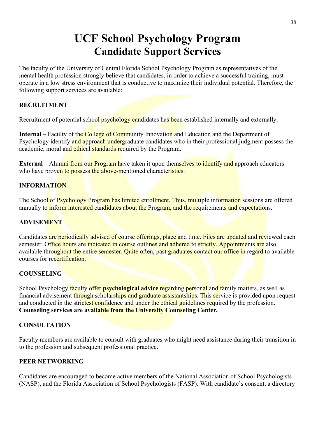# **UCF School Psychology Program Candidate Support Services**

The faculty of the University of Central Florida School Psychology Program as representatives of the mental health profession strongly believe that candidates, in order to achieve a successful training, must operate in a low stress environment that is conductive to maximize their individual potential. Therefore, the following support services are available:

#### **RECRUITMENT**

Recruitment of potential school psychology candidates has been established internally and externally.

**Internal** – Faculty of the College of Community Innovation and Education and the Department of Psychology identify and approach undergraduate candidates who in their professional judgment possess the academic, moral and ethical standards required by the Program.

**External** – Alumni from our Program have taken it upon themselves to identify and approach educators who have proven to possess the above-mentioned characteristics.

## **INFORMATION**

The School of Psychology Program has limited enrollment. Thus, multiple information sessions are offered annually to inform interested candidates about the Program, and the requirements and expectations.

#### **ADVISEMENT**

Candidates are periodically advised of course offerings, place and time. Files are updated and reviewed each semester. Office hours are indicated in course outlines and adhered to strictly. Appointments are also available throughout the entire semester. Quite often, past graduates contact our office in regard to available courses for recertification.

#### **COUNSELING**

School Psychology faculty offer **psychological advice** regarding personal and family matters, as well as financial advisement through scholarships and graduate assistantships. This service is provided upon request and conducted in the strictest confidence and under the ethical guidelines required by the profession. **Counseling services are available from the University Counseling Center.** 

#### **CONSULTATION**

Faculty members are available to consult with graduates who might need assistance during their transition in to the profession and subsequent professional practice.

#### **PEER NETWORKING**

Candidates are encouraged to become active members of the National Association of School Psychologists (NASP), and the Florida Association of School Psychologists (FASP). With candidate's consent, a directory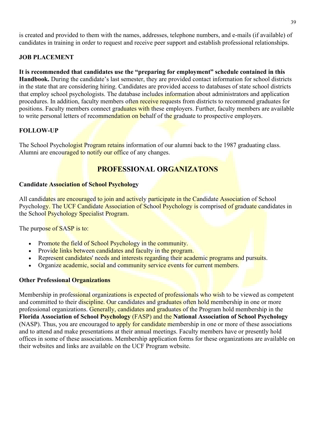is created and provided to them with the names, addresses, telephone numbers, and e-mails (if available) of candidates in training in order to request and receive peer support and establish professional relationships.

#### **JOB PLACEMENT**

#### **It is recommended that candidates use the "preparing for employment" schedule contained in this Handbook.** During the candidate's last semester, they are provided contact information for school districts in the state that are considering hiring. Candidates are provided access to databases of state school districts that employ school psychologists. The database includes information about administrators and application procedures. In addition, faculty members often receive requests from districts to recommend graduates for positions. Faculty members connect graduates with these employers. Further, faculty members are available to write personal letters of recommendation on behalf of the graduate to prospective employers.

#### **FOLLOW-UP**

The School Psychologist Program retains information of our alumni back to the 1987 graduating class. Alumni are encouraged to notify our office of any changes.

## **PROFESSIONAL ORGANIZATONS**

#### **Candidate Association of School Psychology**

All candidates are encouraged to join and actively participate in the Candidate Association of School Psychology. The UCF Candidate Association of School Psychology is comprised of graduate candidates in the School Psychology Specialist Program.

The purpose of SASP is to:

- Promote the field of School Psychology in the community.
- Provide links between candidates and faculty in the program.
- Represent candidates' needs and interests regarding their academic programs and pursuits.
- Organize academic, social and community service events for current members.

#### **Other Professional Organizations**

Membership in professional organizations is expected of professionals who wish to be viewed as competent and committed to their discipline. Our candidates and graduates often hold membership in one or more professional organizations. Generally, candidates and graduates of the Program hold membership in the **Florida Association of School Psychology** (FASP) and the **National Association of School Psychology** (NASP). Thus, you are encouraged to apply for candidate membership in one or more of these associations and to attend and make presentations at their annual meetings. Faculty members have or presently hold offices in some of these associations. Membership application forms for these organizations are available on their websites and links are available on the UCF Program website.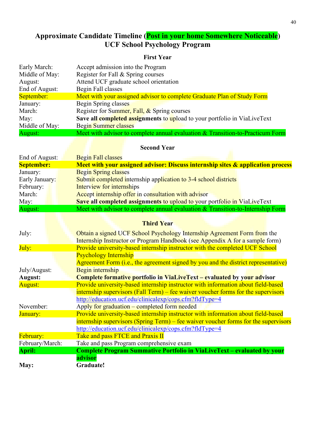## **Approximate Candidate Timeline (Post in your home Somewhere Noticeable) UCF School Psychology Program**

## **First Year**

| Early March:   | Accept admission into the Program                                              |
|----------------|--------------------------------------------------------------------------------|
| Middle of May: | Register for Fall & Spring courses                                             |
| August:        | Attend UCF graduate school orientation                                         |
| End of August: | Begin Fall classes                                                             |
| September:     | Meet with your assigned advisor to complete Graduate Plan of Study Form        |
| January:       | Begin Spring classes                                                           |
| March:         | Register for Summer, Fall, & Spring courses                                    |
| May:           | Save all completed assignments to upload to your portfolio in ViaLiveText      |
| Middle of May: | <b>Begin Summer classes</b>                                                    |
| August:        | Meet with advisor to complete annual evaluation & Transition-to-Practicum Form |

## **Second Year**

| End of August:    | <b>Begin Fall classes</b>                                                         |
|-------------------|-----------------------------------------------------------------------------------|
| <b>September:</b> | Meet with your assigned advisor: Discuss internship sites & application process   |
| January:          | <b>Begin Spring classes</b>                                                       |
| Early January:    | Submit completed internship application to 3-4 school districts                   |
| February:         | Interview for internships                                                         |
| March:            | Accept internship offer in consultation with advisor                              |
| May:              | <b>Save all completed assignments to upload to your portfolio in ViaLiveText</b>  |
| August:           | Meet with advisor to complete annual evaluation $&$ Transition-to-Internship Form |

## **Third Year**

| July:           | Obtain a signed UCF School Psychology Internship Agreement Form from the            |  |  |  |  |
|-----------------|-------------------------------------------------------------------------------------|--|--|--|--|
|                 | Internship Instructor or Program Handbook (see Appendix A for a sample form)        |  |  |  |  |
| July:           | Provide university-based internship instructor with the completed UCF School        |  |  |  |  |
|                 | <b>Psychology Internship</b>                                                        |  |  |  |  |
|                 | Agreement Form (i.e., the agreement signed by you and the district representative)  |  |  |  |  |
| July/August:    | Begin internship                                                                    |  |  |  |  |
| <b>August:</b>  | <b>Complete formative portfolio in ViaLiveText – evaluated by your advisor</b>      |  |  |  |  |
| <b>August:</b>  | Provide university-based internship instructor with information about field-based   |  |  |  |  |
|                 | internship supervisors (Fall Term) – fee waiver voucher forms for the supervisors   |  |  |  |  |
|                 | http://education.ucf.edu/clinicalexp/cops.cfm?fldType=4                             |  |  |  |  |
| November:       | Apply for graduation – completed form needed                                        |  |  |  |  |
| January:        | Provide university-based internship instructor with information about field-based   |  |  |  |  |
|                 | internship supervisors (Spring Term) – fee waiver voucher forms for the supervisors |  |  |  |  |
|                 | http://education.ucf.edu/clinicalexp/cops.cfm?fldType=4                             |  |  |  |  |
| February:       | Take and pass FTCE and Praxis II                                                    |  |  |  |  |
| February/March: | Take and pass Program comprehensive exam                                            |  |  |  |  |
| <b>April:</b>   | <b>Complete Program Summative Portfolio in ViaLiveText - evaluated by your</b>      |  |  |  |  |
|                 | advisor                                                                             |  |  |  |  |
| May:            | Graduate!                                                                           |  |  |  |  |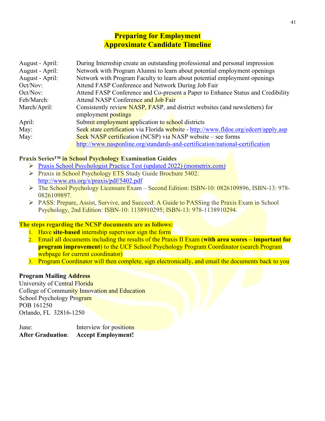## **Preparing for Employment Approximate Candidate Timeline**

| August - April: | During Internship create an outstanding professional and personal impression         |
|-----------------|--------------------------------------------------------------------------------------|
| August - April: | Network with Program Alumni to learn about potential employment openings             |
| August - April: | Network with Program Faculty to learn about potential employment openings            |
| Oct/Nov:        | Attend FASP Conference and Network During Job Fair                                   |
| Oct/Nov:        | Attend FASP Conference and Co-present a Paper to Enhance Status and Credibility      |
| Feb/March:      | Attend NASP Conference and Job Fair                                                  |
| March/April:    | Consistently review NASP, FASP, and district websites (and newsletters) for          |
|                 | employment postings                                                                  |
| April:          | Submit employment application to school districts                                    |
| May:            | Seek state certification via Florida website - http://www.fldoe.org/edcert/apply.asp |
| May:            | Seek NASP certification (NCSP) via NASP website – see forms                          |
|                 | http://www.nasponline.org/standards-and-certification/national-certification         |

#### **Praxis Series™ in School Psychology Examination Guides**

- [Praxis School Psychologist Practice Test \(updated 2022\) \(mometrix.com\)](https://www.mometrix.com/academy/praxis-ii/psychologist/)
- Praxis in School Psychology ETS Study Guide Brochure 5402: <http://www.ets.org/s/praxis/pdf/5402.pdf>
- The School Psychology Licensure Exam Second Edition: ISBN-10: 0826109896, ISBN-13: 978- 0826109897.
- PASS: Prepare, Assist, Survive, and Succeed: A Guide to PASSing the Praxis Exam in School Psychology, 2nd Edition: ISBN-10: 1138910295; ISBN-13: 978-1138910294.

#### **The steps regarding the NCSP documents are as follows:**

- 1. Have **site-based** internship supervisor sign the form
- 2. Email all documents including the results of the Praxis II Exam (**with area scores important for program improvement**) to the UCF School Psychology Program Coordinator (search Program webpage for current coordinator)
- 3. Program Coordinator will then complete, sign electronically, and email the documents back to you

#### **Program Mailing Address**

University of Central Florida College of Community Innovation and Education School Psychology Program POB 161250 Orlando, FL 32816-1250

June: Interview for positions **After Graduation**: **Accept Employment!**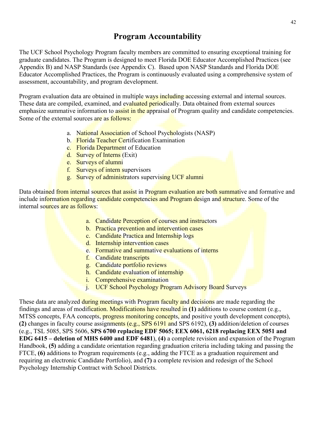## **Program Accountability**

The UCF School Psychology Program faculty members are committed to ensuring exceptional training for graduate candidates. The Program is designed to meet Florida DOE Educator Accomplished Practices (see Appendix B) and NASP Standards (see Appendix C). Based upon NASP Standards and Florida DOE Educator Accomplished Practices, the Program is continuously evaluated using a comprehensive system of assessment, accountability, and program development.

Program evaluation data are obtained in multiple ways including accessing external and internal sources. These data are compiled, examined, and evaluated periodically. Data obtained from external sources emphasize summative information to assist in the appraisal of Program quality and candidate competencies. Some of the external sources are as **follows:** 

- a. National Association of School Psychologists (NASP)
- b. Florida Teacher Certification Examination
- c. Florida Department of Education
- d. Survey of Interns (Exit)
- e. Surveys of alumni
- f. Surveys of intern supervisors
- g. Survey of administrators supervising UCF alumni

Data obtained from internal sources that assist in Program evaluation are both summative and formative and include information regarding candidate competencies and Program design and structure. Some of the internal sources are as follows:

- a. Candidate Perception of courses and instructors
- b. Practica prevention and intervention cases
- c. Candidate Practica and Internship logs
- d. Internship intervention cases
- e. Formative and summative evaluations of interns
- f. Candidate transcripts
- g. Candidate portfolio reviews
- h. Candidate evaluation of internship
- i. Comprehensive examination
- j. UCF School Psychology Program Advisory Board Surveys

These data are analyzed during meetings with Program faculty and decisions are made regarding the findings and areas of modification. Modifications have resulted in **(1)** additions to course content (e.g., MTSS concepts, FAA concepts, progress monitoring concepts, and positive youth development concepts), **(2)** changes in faculty course assignments (e.g., SPS 6191 and SPS 6192), **(3)** addition/deletion of courses (e.g., TSL 5085, SPS 5606, **SPS 6700 replacing EDF 5065; EEX 6061, 6218 replacing EEX 5051 and EDG 6415 – deletion of MHS 6400 and EDF 6481**), **(4)** a complete revision and expansion of the Program Handbook, **(5)** adding a candidate orientation regarding graduation criteria including taking and passing the FTCE, **(6)** additions to Program requirements (e.g., adding the FTCE as a graduation requirement and requiring an electronic Candidate Portfolio), and **(7)** a complete revision and redesign of the School Psychology Internship Contract with School Districts.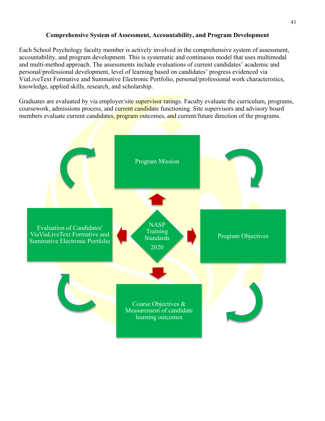#### **Comprehensive System of Assessment, Accountability, and Program Development**

Each School Psychology faculty member is actively involved in the comprehensive system of assessment, accountability, and program development. This is systematic and continuous model that uses multimodal and multi-method approach. The assessments include evaluations of current candidates' academic and personal/professional development, level of learning based on candidates' progress evidenced via ViaLiveText Formative and Summative Electronic Portfolio, personal/professional work characteristics, knowledge, applied skills, research, and scholarship.

Graduates are evaluated by via employer/site supervisor ratings. Faculty evaluate the curriculum, programs, coursework, admissions process, and current candidate functioning. Site supervisors and advisory board members evaluate current candidates, program outcomes, and current/future direction of the programs.

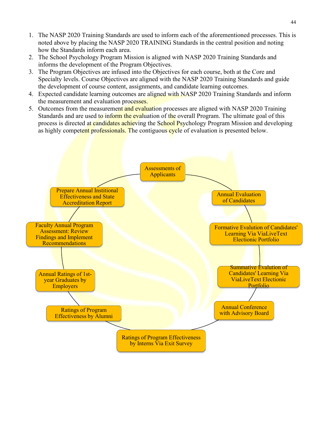- 1. The NASP 2020 Training Standards are used to inform each of the aforementioned processes. This is noted above by placing the NASP 2020 TRAINING Standards in the central position and noting how the Standards inform each area.
- 2. The School Psychology Program Mission is aligned with NASP 2020 Training Standards and informs the development of the Program Objectives.
- 3. The Program Objectives are infused into the Objectives for each course, both at the Core and Specialty levels. Course Objectives are aligned with the NASP 2020 Training Standards and guide the development of course content, assignments, and candidate learning outcomes.
- 4. Expected candidate learning outcomes are aligned with NASP 2020 Training Standards and inform the measurement and evaluation processes.
- 5. Outcomes from the measurement and evaluation processes are aligned with NASP 2020 Training Standards and are used to inform the evaluation of the overall Program. The ultimate goal of this process is directed at candidates achieving the School Psychology Program Mission and developing as highly competent professionals. The contiguous cycle of evaluation is presented below.

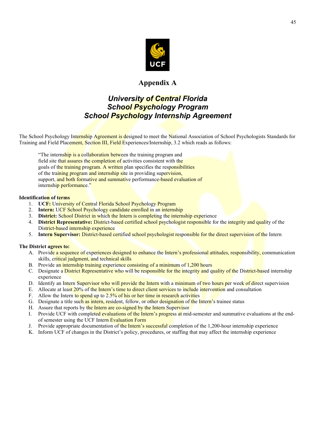

## **Appendix A**

## *University of Central Florida School Psychology Program School Psychology Internship Agreement*

The School Psychology Internship Agreement is designed to meet the National Association of School Psychologists Standards for Training and Field Placement, Section III, Field Experiences/Internship, 3.2 which reads as follows:

"The internship is a collaboration between the training program and field site that assures the completion of activities consistent with the goals of the training program. A written plan specifies the responsibilities of the training program and internship site in providing supervision, support, and both formative and summative performance-based evaluation of internship performance."

#### **Identification of terms**

- 1. **UCF:** University of Central Florida School Psychology Program
- 2. **Intern:** UCF School Psychology candidate enrolled in an internship
- 3. **District:** School District in which the Intern is completing the internship experience
- 4. **District Representative:** District-based certified school psychologist responsible for the integrity and quality of the District-based internship experience
- 5. **Intern Supervisor:** District-based certified school psychologist responsible for the direct supervision of the Intern

#### **The District agrees to:**

- A. Provide a sequence of experiences designed to enhance the Intern's professional attitudes, responsibility, communication skills, critical judgment, and technical skills
- B. Provide an internship training experience consisting of a minimum of 1,200 hours
- C. Designate a **District Representative who will be responsible for the integrity and quality of the District-based internship** experience
- D. Identify an Intern Supervisor who will provide the Intern with a minimum of two hours per week of direct supervision
- E. Allocate at least 20% of the Intern's time to direct client services to include intervention and consultation
- F. Allow the Intern to spend up to 2.5% of his or her time in research activities
- G. Designate a title such as intern, resident, fellow, or other designation of the Intern's trainee status
- H. Assure that reports by the Intern are co-signed by the Intern Supervisor
- I. Provide UCF with completed evaluations of the Intern's progress at mid-semester and summative evaluations at the endof semester using the UCF Intern Evaluation Form
- J. Provide appropriate documentation of the Intern's successful completion of the 1,200-hour internship experience
- K. Inform UCF of changes in the District's policy, procedures, or staffing that may affect the internship experience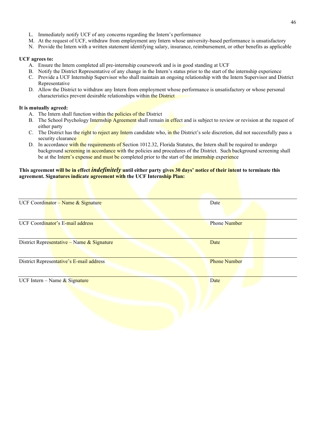- L. Immediately notify UCF of any concerns regarding the Intern's performance
- M. At the request of UCF, withdraw from employment any Intern whose university-based performance is unsatisfactory
- N. Provide the Intern with a written statement identifying salary, insurance, reimbursement, or other benefits as applicable

#### **UCF agrees to:**

- A. Ensure the Intern completed all pre-internship coursework and is in good standing at UCF
- B. Notify the District Representative of any change in the Intern's status prior to the start of the internship experience
- C. Provide a UCF Internship Supervisor who shall maintain an ongoing relationship with the Intern Supervisor and District Representative
- D. Allow the District to withdraw any Intern from employment whose performance is unsatisfactory or whose personal characteristics prevent desirable relationships within the District

#### **It is mutually agreed:**

- A. The Intern shall function within the policies of the District
- B. The School Psychology Internship Agreement shall remain in effect and is subject to review or revision at the request of either party
- C. The District has the right to reject any Intern candidate who, in the District's sole discretion, did not successfully pass a security clearance
- D. In accordance with the requirements of Section 1012.32, Florida Statutes, the Intern shall be required to undergo background screening in accordance with the policies and procedures of the District. Such background screening shall be at the Intern's expense and must be completed prior to the start of the internship experience

#### **This agreement will be in effect** *indefinitely* **until either party gives 30 days' notice of their intent to terminate this agreement. Signatures indicate agreement with the UCF Internship Plan:**

| Date                |
|---------------------|
| <b>Phone Number</b> |
| Date                |
| <b>Phone Number</b> |
| Date                |
|                     |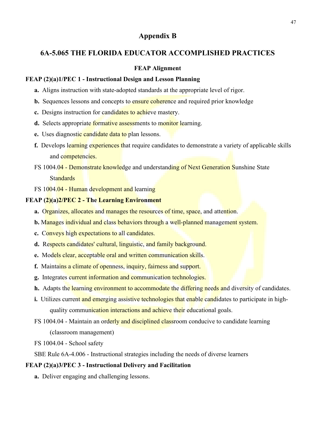## **Appendix B**

#### **6A-5.065 THE FLORIDA EDUCATOR ACCOMPLISHED PRACTICES**

#### **FEAP Alignment**

#### **FEAP (2)(a)1/PEC 1 - Instructional Design and Lesson Planning**

- **a.** Aligns instruction with state-adopted standards at the appropriate level of rigor.
- **b.** Sequences lessons and concepts to ensure coherence and required prior knowledge
- **c.** Designs instruction for candidates to achieve mastery.
- d. Selects appropriate formative assessments to monitor learning.
- **e.** Uses diagnostic candidate data to plan lessons.
- f. Develops learning experiences that require candidates to demonstrate a variety of applicable skills and competencies.
- FS 1004.04 Demonstrate knowledge and understanding of Next Generation Sunshine State Standards
- FS 1004.04 Human development and learning

#### **FEAP (2)(a)2/PEC 2 - The Learning Environment**

- **a.** Organizes, allocates and manages the resources of time, space, and attention.
- **b.** Manages individual and class behaviors through a well-planned management system.
- **c.** Conveys high expectations to all candidates.
- **d.** Respects candidates' cultural, linguistic, and family background.
- **e.** Models clear, acceptable oral and written communication skills.
- **f.** Maintains a climate of openness, inquiry, fairness and support.
- **g.** Integrates current information and communication technologies.
- **h.** Adapts the learning environment to accommodate the differing needs and diversity of candidates.
- **i.** Utilizes current and emerging assistive technologies that enable candidates to participate in highquality communication interactions and achieve their educational goals.
- FS 1004.04 Maintain an orderly and disciplined classroom conducive to candidate learning (classroom management)
- FS 1004.04 School safety

SBE Rule 6A-4.006 - Instructional strategies including the needs of diverse learners

#### **FEAP (2)(a)3/PEC 3 - Instructional Delivery and Facilitation**

**a.** Deliver engaging and challenging lessons.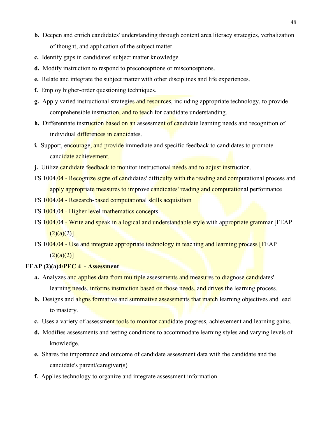- **b.** Deepen and enrich candidates' understanding through content area literacy strategies, verbalization of thought, and application of the subject matter.
- **c.** Identify gaps in candidates' subject matter knowledge.
- **d.** Modify instruction to respond to preconceptions or misconceptions.
- **e.** Relate and integrate the subject matter with other disciplines and life experiences.
- **f.** Employ higher-order questioning techniques.
- **g.** Apply varied instructional strategies and resources, including appropriate technology, to provide comprehensible instruction, and to teach for candidate understanding.
- **h.** Differentiate instruction based on an assessment of candidate learning needs and recognition of individual differences in candidates.
- **i.** Support, encourage, and provide immediate and specific feedback to candidates to promote candidate achievement.
- **j.** Utilize candidate feedback to monitor instructional needs and to adjust instruction.
- FS 1004.04 Recognize signs of candidates' difficulty with the reading and computational process and apply appropriate measures to improve candidates' reading and computational performance
- FS 1004.04 Research-based computational skills acquisition
- FS 1004.04 Higher level mathematics concepts
- FS 1004.04 Write and speak in a logical and understandable style with appropriate grammar [FEAP  $(2)(a)(2)$ ]
- FS 1004.04 Use and integrate appropriate technology in teaching and learning process [FEAP]  $(2)(a)(2)]$

#### **FEAP (2)(a)4/PEC 4 - Assessment**

- **a.** Analyzes and applies data from multiple assessments and measures to diagnose candidates' learning needs, informs instruction based on those needs, and drives the learning process.
- **b.** Designs and aligns formative and summative assessments that match learning objectives and lead to mastery.
- **c.** Uses a variety of assessment tools to monitor candidate progress, achievement and learning gains.
- **d.** Modifies assessments and testing conditions to accommodate learning styles and varying levels of knowledge.
- **e.** Shares the importance and outcome of candidate assessment data with the candidate and the candidate's parent/caregiver(s)
- **f.** Applies technology to organize and integrate assessment information.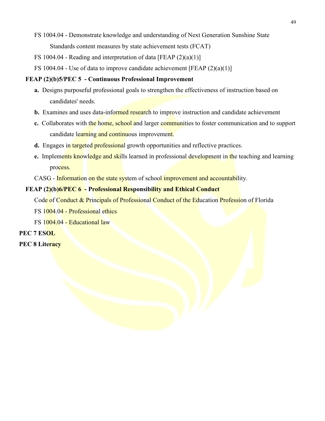- FS 1004.04 Demonstrate knowledge and understanding of Next Generation Sunshine State Standards content measures by state achievement tests (FCAT)
- FS 1004.04 Reading and interpretation of data [FEAP (2)(a)(1)]
- FS 1004.04 Use of data to improve candidate achievement [FEAP  $(2)(a)(1)$ ]

#### **FEAP (2)(b)5/PEC 5 - Continuous Professional Improvement**

- **a.** Designs purposeful professional goals to strengthen the effectiveness of instruction based on candidates' needs.
- **b.** Examines and uses data-informed research to improve instruction and candidate achievement
- **c.** Collaborates with the home, school and larger communities to foster communication and to support candidate learning and continuous improvement.
- **d.** Engages in targeted professional growth opportunities and reflective practices.
- **e.** Implements knowledge and skills learned in professional development in the teaching and learning process.
- CASG Information on the state system of school improvement and accountability.

#### **FEAP (2)(b)6/PEC 6 - Professional Responsibility and Ethical Conduct**

Code of Conduct & Principals of Professional Conduct of the Education Profession of Florida

FS 1004.04 - Professional ethics

FS 1004.04 - Educational law

#### **PEC 7 ESOL**

**PEC 8 Literacy**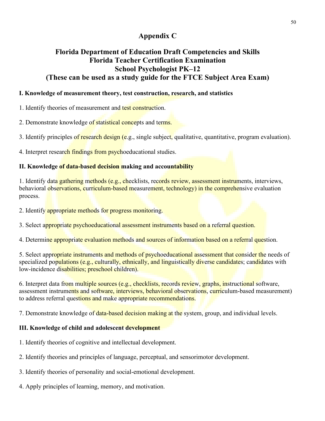## **Appendix C**

## **Florida Department of Education Draft Competencies and Skills Florida Teacher Certification Examination School Psychologist PK–12 (These can be used as a study guide for the FTCE Subject Area Exam)**

#### **I. Knowledge of measurement theory, test construction, research, and statistics**

1. Identify theories of measurement and test construction.

2. Demonstrate knowledge of statistical concepts and terms.

3. Identify principles of research design (e.g., single subject, qualitative, quantitative, program evaluation).

4. Interpret research findings from psychoeducational studies.

#### **II. Knowledge of data-based decision making and accountability**

1. Identify data gathering methods (e.g., checklists, records review, assessment instruments, interviews, behavioral observations, curriculum-based measurement, technology) in the comprehensive evaluation process.

2. Identify appropriate methods for progress monitoring.

3. Select appropriate psychoeducational assessment instruments based on a referral question.

4. Determine appropriate evaluation methods and sources of information based on a referral question.

5. Select appropriate instruments and methods of psychoeducational assessment that consider the needs of specialized populations (e.g., culturally, ethnically, and linguistically diverse candidates; candidates with low-incidence disabilities; preschool children).

6. Interpret data from multiple sources (e.g., checklists, records review, graphs, instructional software, assessment instruments and software, interviews, behavioral observations, curriculum-based measurement) to address referral questions and make appropriate recommendations.

7. Demonstrate knowledge of data-based decision making at the system, group, and individual levels.

#### **III. Knowledge of child and adolescent development**

- 1. Identify theories of cognitive and intellectual development.
- 2. Identify theories and principles of language, perceptual, and sensorimotor development.

3. Identify theories of personality and social-emotional development.

4. Apply principles of learning, memory, and motivation.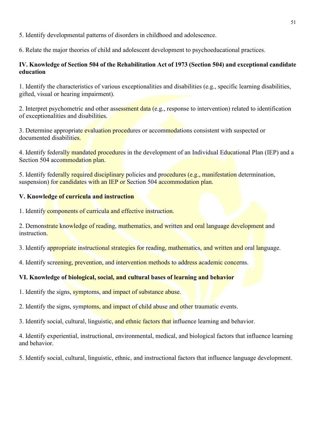5. Identify developmental patterns of disorders in childhood and adolescence.

6. Relate the major theories of child and adolescent development to psychoeducational practices.

#### **IV. Knowledge of Section 504 of the Rehabilitation Act of 1973 (Section 504) and exceptional candidate education**

1. Identify the characteristics of various exceptionalities and disabilities (e.g., specific learning disabilities, gifted, visual or hearing impairment).

2. Interpret psychometric and other assessment data (e.g., response to intervention) related to identification of exceptionalities and disabilities.

3. Determine appropriate evaluation procedures or accommodations consistent with suspected or documented disabilities.

4. Identify federally mandated procedures in the development of an Individual Educational Plan (IEP) and a Section 504 accommodation plan.

5. Identify federally required disciplinary policies and procedures (e.g., manifestation determination, suspension) for candidates with an IEP or Section 504 accommodation plan.

#### **V. Knowledge of curricula and instruction**

1. Identify components of curricula and effective instruction.

2. Demonstrate knowledge of reading, mathematics, and written and oral language development and instruction.

3. Identify appropriate instructional strategies for reading, mathematics, and written and oral language.

4. Identify screening, prevention, and intervention methods to address academic concerns.

#### **VI. Knowledge of biological, social, and cultural bases of learning and behavior**

1. Identify the signs, symptoms, and impact of substance abuse.

2. Identify the signs, symptoms, and impact of child abuse and other traumatic events.

3. Identify social, cultural, linguistic, and ethnic factors that influence learning and behavior.

4. Identify experiential, instructional, environmental, medical, and biological factors that influence learning and behavior.

5. Identify social, cultural, linguistic, ethnic, and instructional factors that influence language development.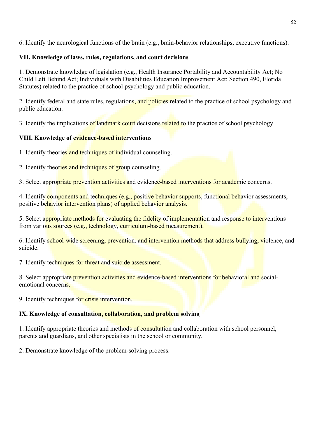6. Identify the neurological functions of the brain (e.g., brain-behavior relationships, executive functions).

#### **VII. Knowledge of laws, rules, regulations, and court decisions**

1. Demonstrate knowledge of legislation (e.g., Health Insurance Portability and Accountability Act; No Child Left Behind Act; Individuals with Disabilities Education Improvement Act; Section 490, Florida Statutes) related to the practice of school psychology and public education.

2. Identify federal and state rules, regulations, and policies related to the practice of school psychology and public education.

3. Identify the implications of landmark court decisions related to the practice of school psychology.

## **VIII. Knowledge of evidence-based interventions**

1. Identify theories and techniques of individual counseling.

2. Identify theories and techniques of group counseling.

3. Select appropriate prevention activities and evidence-based interventions for academic concerns.

4. Identify components and techniques (e.g., positive behavior supports, functional behavior assessments, positive behavior intervention plans) of applied behavior analysis.

5. Select appropriate methods for evaluating the fidelity of implementation and response to interventions from various sources (e.g., technology, curriculum-based measurement).

6. Identify school-wide screening, prevention, and intervention methods that address bullying, violence, and suicide.

7. Identify techniques for threat and suicide assessment.

8. Select appropriate prevention activities and evidence-based interventions for behavioral and socialemotional concerns.

9. Identify techniques for crisis intervention.

## **IX. Knowledge of consultation, collaboration, and problem solving**

1. Identify appropriate theories and methods of consultation and collaboration with school personnel, parents and guardians, and other specialists in the school or community.

2. Demonstrate knowledge of the problem-solving process.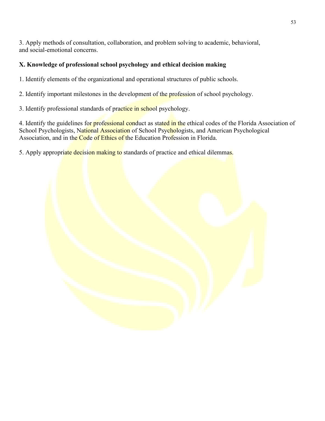3. Apply methods of consultation, collaboration, and problem solving to academic, behavioral, and social-emotional concerns.

## **X. Knowledge of professional school psychology and ethical decision making**

1. Identify elements of the organizational and operational structures of public schools.

2. Identify important milestones in the development of the profession of school psychology.

3. Identify professional standards of practice in school psychology.

4. Identify the guidelines for professional conduct as stated in the ethical codes of the Florida Association of School Psychologists, National Association of School Psychologists, and American Psychological Association, and in the Code of Ethics of the Education Profession in Florida.

5. Apply appropriate decision making to standards of practice and ethical dilemmas.

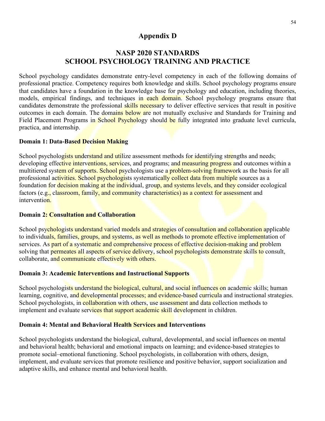## **Appendix D**

## **NASP 2020 STANDARDS SCHOOL PSYCHOLOGY TRAINING AND PRACTICE**

School psychology candidates demonstrate entry-level competency in each of the following domains of professional practice. Competency requires both knowledge and skills. School psychology programs ensure that candidates have a foundation in the knowledge base for psychology and education, including theories, models, empirical findings, and techniques in each domain. School psychology programs ensure that candidates demonstrate the professional skills necessary to deliver effective services that result in positive outcomes in each domain. The domains below are not mutually exclusive and Standards for Training and Field Placement Programs in School Psychology should be fully integrated into graduate level curricula, practica, and internship.

#### **Domain 1: Data-Based Decision Making**

School psychologists understand and utilize assessment methods for identifying strengths and needs; developing effective interventions, services, and programs; and measuring progress and outcomes within a multitiered system of supports. School psychologists use a problem-solving framework as the basis for all professional activities. School psychologists systematically collect data from multiple sources as a foundation for decision making at the individual, group, and systems levels, and they consider ecological factors (e.g., classroom, family, and community characteristics) as a context for assessment and intervention.

#### **Domain 2: Consultation and Collaboration**

School psychologists understand varied models and strategies of consultation and collaboration applicable to individuals, families, groups, and systems, as well as methods to promote effective implementation of services. As part of a systematic and comprehensive process of effective decision-making and problem solving that permeates all aspects of service delivery, school psychologists demonstrate skills to consult, collaborate, and communicate effectively with others.

#### **Domain 3: Academic Interventions and Instructional Supports**

School psychologists understand the biological, cultural, and social influences on academic skills; human learning, cognitive, and developmental processes; and evidence-based curricula and instructional strategies. School psychologists, in collaboration with others, use assessment and data collection methods to implement and evaluate services that support academic skill development in children.

#### **Domain 4: Mental and Behavioral Health Services and Interventions**

School psychologists understand the biological, cultural, developmental, and social influences on mental and behavioral health; behavioral and emotional impacts on learning; and evidence-based strategies to promote social–emotional functioning. School psychologists, in collaboration with others, design, implement, and evaluate services that promote resilience and positive behavior, support socialization and adaptive skills, and enhance mental and behavioral health.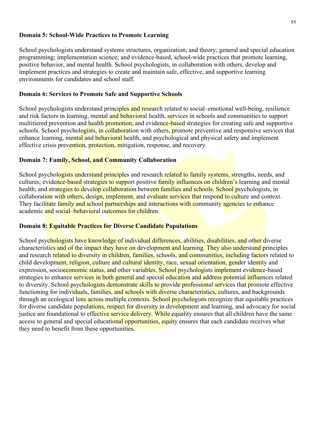#### **Domain 5: School-Wide Practices to Promote Learning**

School psychologists understand systems structures, organization, and theory; general and special education programming; implementation science; and evidence-based, school-wide practices that promote learning, positive behavior, and mental health. School psychologists, in collaboration with others, develop and implement practices and strategies to create and maintain safe, effective, and supportive learning environments for candidates and school staff.

#### **Domain 6: Services to Promote Safe and Supportive Schools**

School psychologists understand principles and research related to social–emotional well-being, resilience and risk factors in learning, mental and behavioral health, services in schools and communities to support multitiered prevention and health promotion, and evidence-based strategies for creating safe and supportive schools. School psychologists, in collaboration with others, promote preventive and responsive services that enhance learning, mental and behavioral health, and psychological and physical safety and implement effective crisis prevention, protection, mitigation, response, and recovery.

#### **Domain 7: Family, School, and Community Collaboration**

School psychologists understand principles and research related to family systems, strengths, needs, and cultures; evidence-based strategies to support positive family influences on children's learning and mental health; and strategies to develop collaboration between families and schools. School psychologists, in collaboration with others, design, implement, and evaluate services that respond to culture and context. They facilitate family and school partnerships and interactions with community agencies to enhance academic and social–behavioral outcomes for children.

#### **Domain 8: Equitable Practices for Diverse Candidate Populations**

School psychologists have knowledge of individual differences, abilities, disabilities, and other diverse characteristics and of the impact they have on development and learning. They also understand principles and research related to diversity in children, families, schools, and communities, including factors related to child development, religion, culture and cultural identity, race, sexual orientation, gender identity and expression, socioeconomic status, and other variables. School psychologists implement evidence-based strategies to enhance services in both general and special education and address potential influences related to diversity. School psychologists demonstrate skills to provide professional services that promote effective functioning for individuals, families, and schools with diverse characteristics, cultures, and backgrounds through an ecological lens across multiple contexts. School psychologists recognize that equitable practices for diverse candidate populations, respect for diversity in development and learning, and advocacy for social justice are foundational to effective service delivery. While equality ensures that all children have the same access to general and special educational opportunities, equity ensures that each candidate receives what they need to benefit from these opportunities.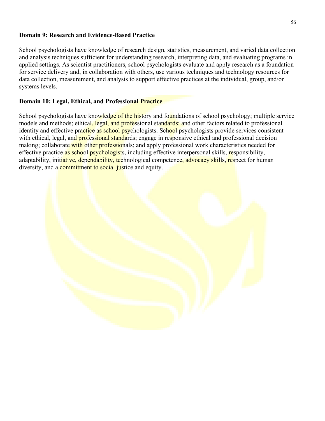#### **Domain 9: Research and Evidence-Based Practice**

School psychologists have knowledge of research design, statistics, measurement, and varied data collection and analysis techniques sufficient for understanding research, interpreting data, and evaluating programs in applied settings. As scientist practitioners, school psychologists evaluate and apply research as a foundation for service delivery and, in collaboration with others, use various techniques and technology resources for data collection, measurement, and analysis to support effective practices at the individual, group, and/or systems levels.

#### **Domain 10: Legal, Ethical, and Professional Practice**

School psychologists have knowledge of the history and foundations of school psychology; multiple service models and methods; ethical, legal, and professional standards; and other factors related to professional identity and effective practice as school psychologists. School psychologists provide services consistent with ethical, legal, and **professional standards**; engage in responsive ethical and professional decision making; collaborate with other professionals; and apply professional work characteristics needed for effective practice as school psychologists, including effective interpersonal skills, responsibility, adaptability, initiative, dependability, technological competence, advocacy skills, respect for human diversity, and a **commitment to social justice** and equity.

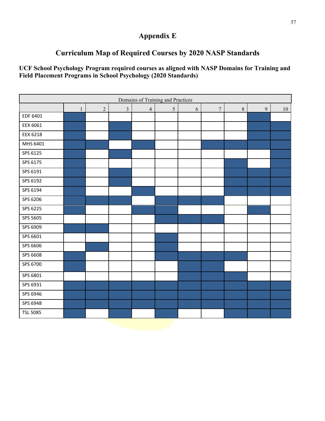## **Appendix E**

## **Curriculum Map of Required Courses by 2020 NASP Standards**

**UCF School Psychology Program required courses as aligned with NASP Domains for Training and Field Placement Programs in School Psychology (2020 Standards)** 

| Domains of Training and Practices |              |                |                |                |   |   |                  |                |   |    |
|-----------------------------------|--------------|----------------|----------------|----------------|---|---|------------------|----------------|---|----|
|                                   | $\mathbf{1}$ | $\overline{2}$ | $\overline{3}$ | $\overline{4}$ | 5 | 6 | $\boldsymbol{7}$ | $8\phantom{.}$ | 9 | 10 |
| EDF 6401                          |              |                |                |                |   |   |                  |                |   |    |
| EEX 6061                          |              |                |                |                |   |   |                  |                |   |    |
| <b>EEX 6218</b>                   |              |                |                |                |   |   |                  |                |   |    |
| MHS 6401                          |              |                |                |                |   |   |                  |                |   |    |
| SPS 6125                          |              |                |                |                |   |   |                  |                |   |    |
| SPS 6175                          |              |                |                |                |   |   |                  |                |   |    |
| SPS 6191                          |              |                |                |                |   |   |                  |                |   |    |
| SPS 6192                          |              |                |                |                |   |   |                  |                |   |    |
| SPS 6194                          |              |                |                |                |   |   |                  |                |   |    |
| SPS 6206                          |              |                |                |                |   |   |                  |                |   |    |
| SPS 6225                          |              |                |                |                |   |   |                  |                |   |    |
| SPS 5605                          |              |                |                |                |   |   |                  |                |   |    |
| SPS 6909                          |              |                |                |                |   |   |                  |                |   |    |
| SPS 6601                          |              |                |                |                |   |   |                  |                |   |    |
| SPS 6606                          |              |                |                |                |   |   |                  |                |   |    |
| SPS 6608                          |              |                |                |                |   |   |                  |                |   |    |
| SPS 6700                          |              |                |                |                |   |   |                  |                |   |    |
| SPS 6801                          |              |                |                |                |   |   |                  |                |   |    |
| SPS 6931                          |              |                |                |                |   |   |                  |                |   |    |
| SPS 6946                          |              |                |                |                |   |   |                  |                |   |    |
| SPS 6948                          |              |                |                |                |   |   |                  |                |   |    |
| <b>TSL 5085</b>                   |              |                |                |                |   |   |                  |                |   |    |
|                                   |              |                |                |                |   |   |                  |                |   |    |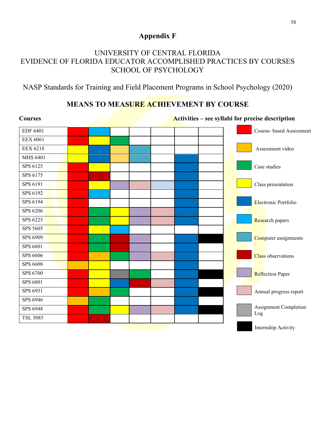## **Appendix F**

## UNIVERSITY OF CENTRAL FLORIDA EVIDENCE OF FLORIDA EDUCATOR ACCOMPLISHED PRACTICES BY COURSES SCHOOL OF PSYCHOLOGY

NASP Standards for Training and Field Placement Programs in School Psychology (2020)

## **MEANS TO MEASURE ACHIEVEMENT BY COURSE**

| <b>Courses</b>  | Activities – see syllabi for precise description |  |  |  |                           |  |  |
|-----------------|--------------------------------------------------|--|--|--|---------------------------|--|--|
| <b>EDF 6401</b> |                                                  |  |  |  | Course- based Assessment  |  |  |
| <b>EEX 6061</b> |                                                  |  |  |  |                           |  |  |
| <b>EEX 6218</b> |                                                  |  |  |  | Assessment video          |  |  |
| <b>MHS 6401</b> |                                                  |  |  |  |                           |  |  |
| SPS 6125        |                                                  |  |  |  | Case studies              |  |  |
| SPS 6175        |                                                  |  |  |  |                           |  |  |
| SPS 6191        |                                                  |  |  |  | Class presentation        |  |  |
| SPS 6192        |                                                  |  |  |  |                           |  |  |
| SPS 6194        |                                                  |  |  |  | Electronic Portfolio      |  |  |
| SPS 6206        |                                                  |  |  |  |                           |  |  |
| SPS 6225        |                                                  |  |  |  | Research papers           |  |  |
| SPS 5605        |                                                  |  |  |  |                           |  |  |
| SPS 6909        |                                                  |  |  |  | Computer assignments      |  |  |
| SPS 6601        |                                                  |  |  |  |                           |  |  |
| SPS 6606        |                                                  |  |  |  | <b>Class</b> observations |  |  |
| <b>SPS 6608</b> |                                                  |  |  |  |                           |  |  |
| SPS 6700        |                                                  |  |  |  | <b>Reflection Paper</b>   |  |  |
| SPS 6801        |                                                  |  |  |  |                           |  |  |
| SPS 6931        |                                                  |  |  |  | Annual progress report    |  |  |
| SPS 6946        |                                                  |  |  |  |                           |  |  |
| SPS 6948        |                                                  |  |  |  | Assignment Completion     |  |  |
| <b>TSL 5085</b> |                                                  |  |  |  | Log                       |  |  |
|                 |                                                  |  |  |  | Internship Activity       |  |  |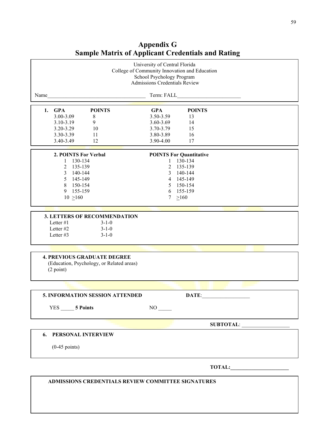|                                                                                                                  | University of Central Florida<br>College of Community Innovation and Education<br>School Psychology Program<br><b>Admissions Credentials Review</b> |                                |                                                                                                                     |  |        |  |  |
|------------------------------------------------------------------------------------------------------------------|-----------------------------------------------------------------------------------------------------------------------------------------------------|--------------------------------|---------------------------------------------------------------------------------------------------------------------|--|--------|--|--|
| Name                                                                                                             |                                                                                                                                                     |                                |                                                                                                                     |  |        |  |  |
| 1. GPA<br><b>POINTS</b>                                                                                          | <b>GPA</b>                                                                                                                                          | <b>POINTS</b>                  |                                                                                                                     |  |        |  |  |
| 3.00-3.09<br>$\,8\,$                                                                                             | 3.50-3.59                                                                                                                                           | 13                             |                                                                                                                     |  |        |  |  |
| 3.10-3.19<br>9                                                                                                   | 3.60-3.69                                                                                                                                           | 14                             |                                                                                                                     |  |        |  |  |
| 3.20-3.29<br>10                                                                                                  | 3.70-3.79                                                                                                                                           | 15                             |                                                                                                                     |  |        |  |  |
| 3.30-3.39<br>11                                                                                                  | 3.80-3.89                                                                                                                                           | 16                             |                                                                                                                     |  |        |  |  |
| 3.40-3.49<br>12                                                                                                  | 3.90-4.00                                                                                                                                           | 17                             |                                                                                                                     |  |        |  |  |
| 2. POINTS For Verbal                                                                                             |                                                                                                                                                     | <b>POINTS For Quantitative</b> |                                                                                                                     |  |        |  |  |
| 1 130-134                                                                                                        | $\mathbf{1}$                                                                                                                                        | 130-134                        |                                                                                                                     |  |        |  |  |
| 2 135-139                                                                                                        | $\overline{2}$                                                                                                                                      | 135-139                        |                                                                                                                     |  |        |  |  |
| 3 140-144                                                                                                        | $\mathfrak{Z}$                                                                                                                                      | 140-144                        |                                                                                                                     |  |        |  |  |
| 5 145-149                                                                                                        |                                                                                                                                                     | 4 145-149                      |                                                                                                                     |  |        |  |  |
| 8 150-154                                                                                                        |                                                                                                                                                     | 5 150-154                      |                                                                                                                     |  |        |  |  |
| 9<br>155-159                                                                                                     |                                                                                                                                                     | 6 155-159                      |                                                                                                                     |  |        |  |  |
| $10 \ge 160$                                                                                                     | 7                                                                                                                                                   | >160                           |                                                                                                                     |  |        |  |  |
|                                                                                                                  |                                                                                                                                                     |                                |                                                                                                                     |  |        |  |  |
| 3. LETTERS OF RECOMMENDATION<br>Letter #1<br>$3 - 1 - 0$<br>Letter #2<br>$3 - 1 - 0$<br>Letter #3<br>$3 - 1 - 0$ |                                                                                                                                                     |                                |                                                                                                                     |  |        |  |  |
|                                                                                                                  |                                                                                                                                                     |                                |                                                                                                                     |  |        |  |  |
| <b>4. PREVIOUS GRADUATE DEGREE</b><br>(Education, Psychology, or Related areas)<br>(2 point)                     |                                                                                                                                                     |                                |                                                                                                                     |  |        |  |  |
|                                                                                                                  |                                                                                                                                                     |                                |                                                                                                                     |  |        |  |  |
| 5. INFORMATION SESSION ATTENDED                                                                                  |                                                                                                                                                     | DATE:                          | <u> 1950 - Johann John Stone, mars eta bainar eta bainar eta bainar eta bainar eta bainar eta bainar eta bainar</u> |  |        |  |  |
| YES 5 Points                                                                                                     | $NO$ <sub>——</sub>                                                                                                                                  |                                |                                                                                                                     |  |        |  |  |
|                                                                                                                  |                                                                                                                                                     |                                |                                                                                                                     |  |        |  |  |
| <b>6. PERSONAL INTERVIEW</b>                                                                                     |                                                                                                                                                     |                                |                                                                                                                     |  |        |  |  |
| $(0-45$ points)                                                                                                  |                                                                                                                                                     |                                |                                                                                                                     |  |        |  |  |
|                                                                                                                  |                                                                                                                                                     |                                |                                                                                                                     |  | TOTAL: |  |  |

## **Appendix G Sample Matrix of Applicant Credentials and Rating**

 **ADMISSIONS CREDENTIALS REVIEW COMMITTEE SIGNATURES**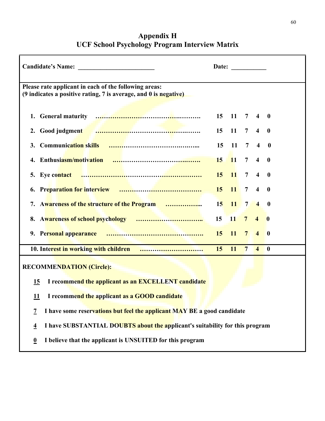| <b>Candidate's Name:</b>                                                                                                                                                                                                               | Date: |                       |                 |                         |                         |  |  |  |  |  |
|----------------------------------------------------------------------------------------------------------------------------------------------------------------------------------------------------------------------------------------|-------|-----------------------|-----------------|-------------------------|-------------------------|--|--|--|--|--|
| Please rate applicant in each of the following areas:<br>$(9$ indicates a positive rating, 7 is average, and $0$ is negative)                                                                                                          |       |                       |                 |                         |                         |  |  |  |  |  |
| 1.                                                                                                                                                                                                                                     | 15    | $\blacksquare$ 11     | $\overline{7}$  | $\overline{4}$          | $\mathbf{0}$            |  |  |  |  |  |
| Good judgment <b>All Constitution Cool</b> in the second second second second second second second second second second second second second second second second second second second second second second second second second<br>2. | 15    | 11                    | $7\overline{ }$ | $\overline{\mathbf{4}}$ | $\mathbf 0$             |  |  |  |  |  |
| <b>Communication skills</b><br>3.                                                                                                                                                                                                      | 15    | 11                    | $\overline{7}$  | $\overline{\mathbf{4}}$ | $\bf{0}$                |  |  |  |  |  |
| 4.                                                                                                                                                                                                                                     | 15    | <b>11</b>             | $\overline{7}$  | $\overline{\mathbf{4}}$ | $\bf{0}$                |  |  |  |  |  |
| 5. Eye contact                                                                                                                                                                                                                         |       | $15 \quad 11 \quad 7$ |                 | $\overline{4}$          | $\bf{0}$                |  |  |  |  |  |
| 6.                                                                                                                                                                                                                                     | 15    | 11                    | $7\phantom{.0}$ | $\overline{\mathbf{4}}$ | $\mathbf 0$             |  |  |  |  |  |
| 7. Awareness of the structure of the Program                                                                                                                                                                                           | 15    | <b>11</b>             | $\overline{7}$  | $\overline{4}$          | $\bf{0}$                |  |  |  |  |  |
|                                                                                                                                                                                                                                        | 15    | 11                    | 7 <sup>7</sup>  | $\overline{4}$          | $\overline{\mathbf{0}}$ |  |  |  |  |  |
|                                                                                                                                                                                                                                        | 15    | <b>11</b>             | $7\phantom{.0}$ | $\overline{\mathbf{4}}$ | $\bf{0}$                |  |  |  |  |  |
|                                                                                                                                                                                                                                        | 15    | <b>11</b>             | $7\phantom{.0}$ | $\overline{\mathbf{4}}$ | $\bf{0}$                |  |  |  |  |  |
| <b>RECOMMENDATION (Circle):</b>                                                                                                                                                                                                        |       |                       |                 |                         |                         |  |  |  |  |  |
| I recommend the applicant as an EXCELLENT candidate<br><u>15</u>                                                                                                                                                                       |       |                       |                 |                         |                         |  |  |  |  |  |
| I recommend the applicant as a GOOD candidate<br><u> 11</u>                                                                                                                                                                            |       |                       |                 |                         |                         |  |  |  |  |  |
| I have some reservations but feel the applicant MAY BE a good candidate<br>$\overline{\mathcal{I}}$                                                                                                                                    |       |                       |                 |                         |                         |  |  |  |  |  |
| I have SUBSTANTIAL DOUBTS about the applicant's suitability for this program<br>$\overline{4}$                                                                                                                                         |       |                       |                 |                         |                         |  |  |  |  |  |
| I believe that the applicant is UNSUITED for this program<br>$\overline{\mathbf{0}}$                                                                                                                                                   |       |                       |                 |                         |                         |  |  |  |  |  |

## **Appendix H UCF School Psychology Program Interview Matrix**